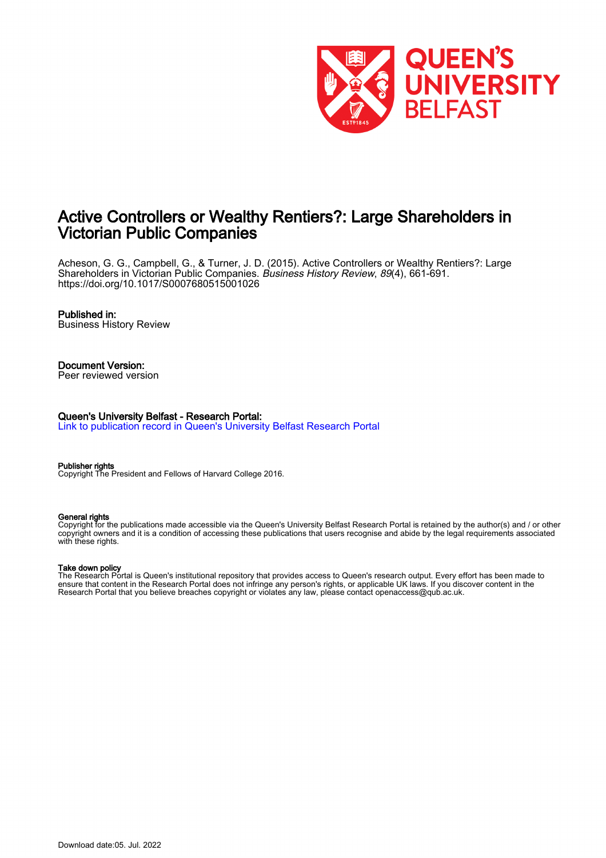

# Active Controllers or Wealthy Rentiers?: Large Shareholders in Victorian Public Companies

Acheson, G. G., Campbell, G., & Turner, J. D. (2015). Active Controllers or Wealthy Rentiers?: Large Shareholders in Victorian Public Companies. Business History Review, 89(4), 661-691. <https://doi.org/10.1017/S0007680515001026>

### Published in:

Business History Review

# Document Version:

Peer reviewed version

#### Queen's University Belfast - Research Portal:

[Link to publication record in Queen's University Belfast Research Portal](https://pure.qub.ac.uk/en/publications/d78d9908-a7a1-43f1-9ae3-5dd56fbb6a01)

#### Publisher rights

Copyright The President and Fellows of Harvard College 2016.

#### General rights

Copyright for the publications made accessible via the Queen's University Belfast Research Portal is retained by the author(s) and / or other copyright owners and it is a condition of accessing these publications that users recognise and abide by the legal requirements associated with these rights.

#### Take down policy

The Research Portal is Queen's institutional repository that provides access to Queen's research output. Every effort has been made to ensure that content in the Research Portal does not infringe any person's rights, or applicable UK laws. If you discover content in the Research Portal that you believe breaches copyright or violates any law, please contact openaccess@qub.ac.uk.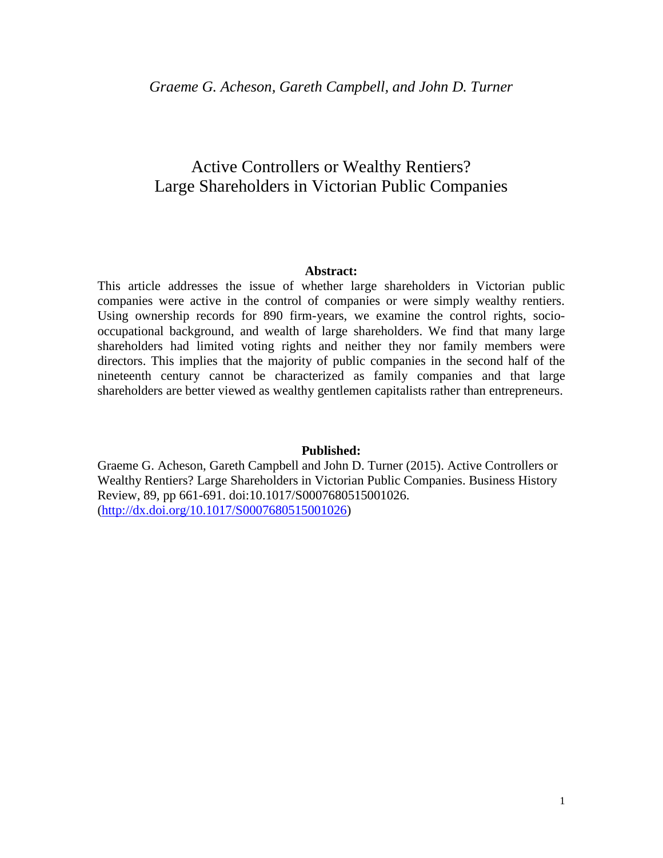# Active Controllers or Wealthy Rentiers? Large Shareholders in Victorian Public Companies

### **Abstract:**

This article addresses the issue of whether large shareholders in Victorian public companies were active in the control of companies or were simply wealthy rentiers. Using ownership records for 890 firm-years, we examine the control rights, sociooccupational background, and wealth of large shareholders. We find that many large shareholders had limited voting rights and neither they nor family members were directors. This implies that the majority of public companies in the second half of the nineteenth century cannot be characterized as family companies and that large shareholders are better viewed as wealthy gentlemen capitalists rather than entrepreneurs.

### **Published:**

Graeme G. Acheson, Gareth Campbell and John D. Turner (2015). Active Controllers or Wealthy Rentiers? Large Shareholders in Victorian Public Companies. Business History Review, 89, pp 661-691. doi:10.1017/S0007680515001026. [\(http://dx.doi.org/10.1017/S0007680515001026\)](http://dx.doi.org/10.1017/S0007680515001026)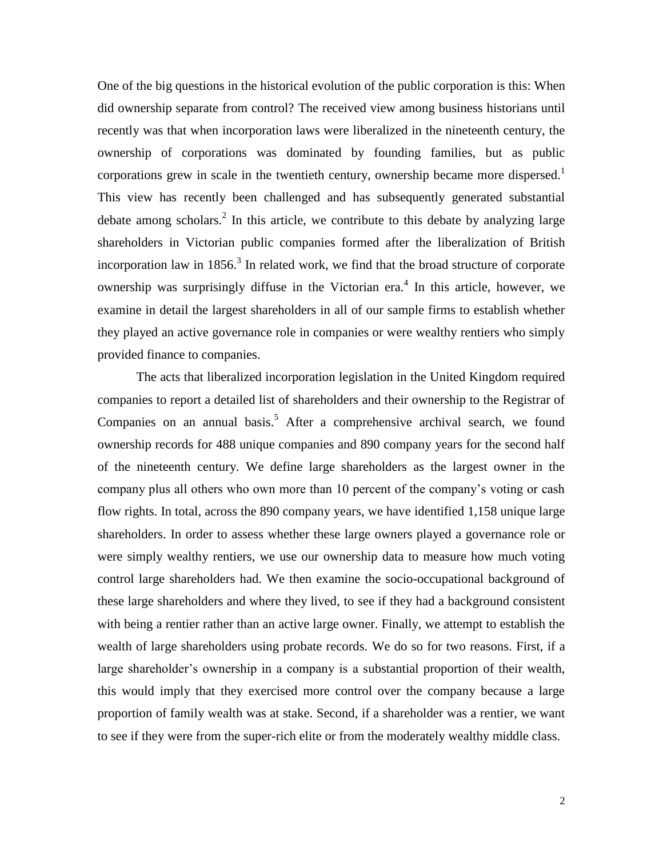One of the big questions in the historical evolution of the public corporation is this: When did ownership separate from control? The received view among business historians until recently was that when incorporation laws were liberalized in the nineteenth century, the ownership of corporations was dominated by founding families, but as public corporations grew in scale in the twentieth century, ownership became more dispersed.<sup>1</sup> This view has recently been challenged and has subsequently generated substantial debate among scholars.<sup>2</sup> In this article, we contribute to this debate by analyzing large shareholders in Victorian public companies formed after the liberalization of British incorporation law in  $1856$ <sup>3</sup>. In related work, we find that the broad structure of corporate ownership was surprisingly diffuse in the Victorian era.<sup>4</sup> In this article, however, we examine in detail the largest shareholders in all of our sample firms to establish whether they played an active governance role in companies or were wealthy rentiers who simply provided finance to companies.

The acts that liberalized incorporation legislation in the United Kingdom required companies to report a detailed list of shareholders and their ownership to the Registrar of Companies on an annual basis.<sup>5</sup> After a comprehensive archival search, we found ownership records for 488 unique companies and 890 company years for the second half of the nineteenth century. We define large shareholders as the largest owner in the company plus all others who own more than 10 percent of the company's voting or cash flow rights. In total, across the 890 company years, we have identified 1,158 unique large shareholders. In order to assess whether these large owners played a governance role or were simply wealthy rentiers, we use our ownership data to measure how much voting control large shareholders had. We then examine the socio-occupational background of these large shareholders and where they lived, to see if they had a background consistent with being a rentier rather than an active large owner. Finally, we attempt to establish the wealth of large shareholders using probate records. We do so for two reasons. First, if a large shareholder's ownership in a company is a substantial proportion of their wealth, this would imply that they exercised more control over the company because a large proportion of family wealth was at stake. Second, if a shareholder was a rentier, we want to see if they were from the super-rich elite or from the moderately wealthy middle class.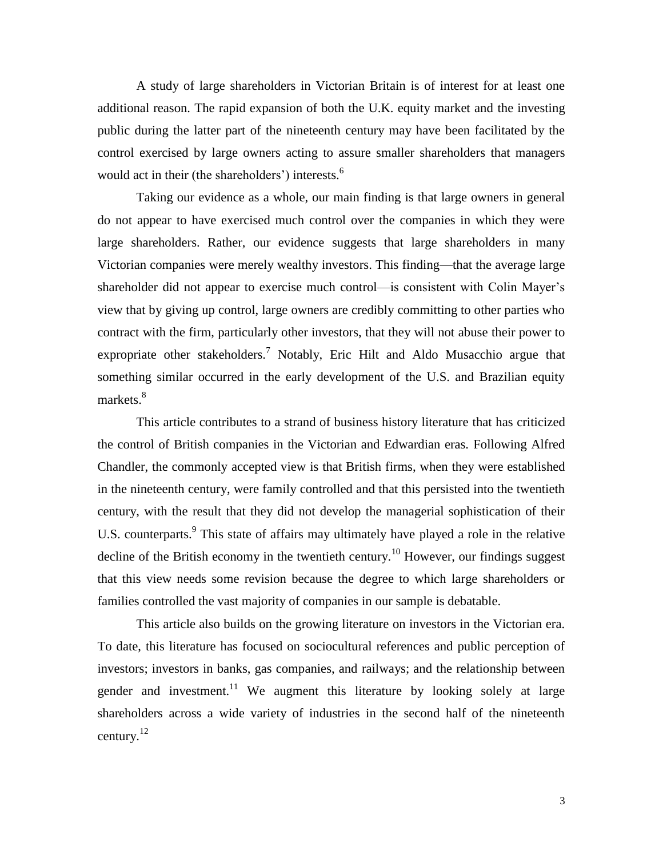A study of large shareholders in Victorian Britain is of interest for at least one additional reason. The rapid expansion of both the U.K. equity market and the investing public during the latter part of the nineteenth century may have been facilitated by the control exercised by large owners acting to assure smaller shareholders that managers would act in their (the shareholders') interests.<sup>6</sup>

Taking our evidence as a whole, our main finding is that large owners in general do not appear to have exercised much control over the companies in which they were large shareholders. Rather, our evidence suggests that large shareholders in many Victorian companies were merely wealthy investors. This finding—that the average large shareholder did not appear to exercise much control—is consistent with Colin Mayer's view that by giving up control, large owners are credibly committing to other parties who contract with the firm, particularly other investors, that they will not abuse their power to expropriate other stakeholders.<sup>7</sup> Notably, Eric Hilt and Aldo Musacchio argue that something similar occurred in the early development of the U.S. and Brazilian equity markets.<sup>8</sup>

This article contributes to a strand of business history literature that has criticized the control of British companies in the Victorian and Edwardian eras. Following Alfred Chandler, the commonly accepted view is that British firms, when they were established in the nineteenth century, were family controlled and that this persisted into the twentieth century, with the result that they did not develop the managerial sophistication of their U.S. counterparts.<sup>9</sup> This state of affairs may ultimately have played a role in the relative decline of the British economy in the twentieth century.<sup>10</sup> However, our findings suggest that this view needs some revision because the degree to which large shareholders or families controlled the vast majority of companies in our sample is debatable.

This article also builds on the growing literature on investors in the Victorian era. To date, this literature has focused on sociocultural references and public perception of investors; investors in banks, gas companies, and railways; and the relationship between gender and investment.<sup>11</sup> We augment this literature by looking solely at large shareholders across a wide variety of industries in the second half of the nineteenth century.<sup>12</sup>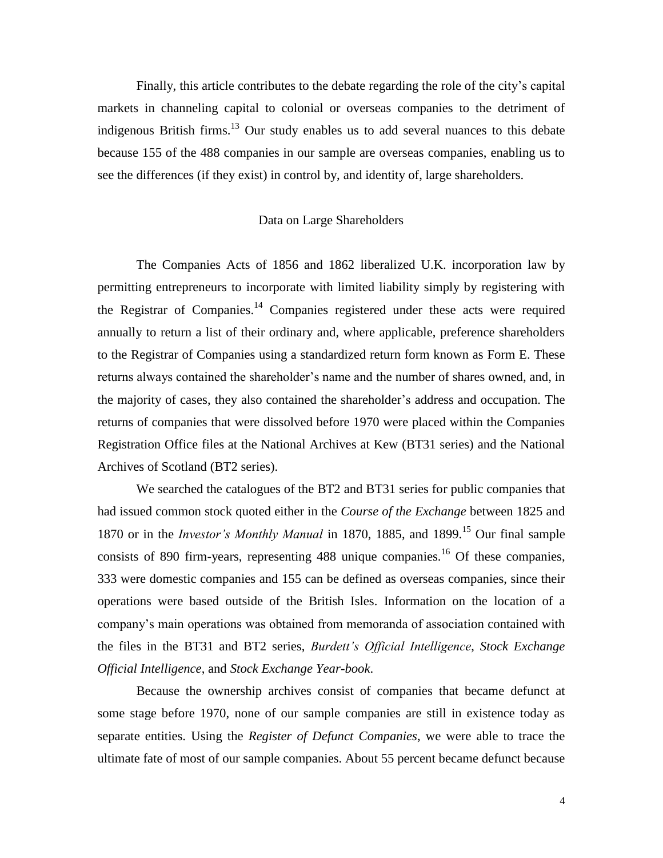Finally, this article contributes to the debate regarding the role of the city's capital markets in channeling capital to colonial or overseas companies to the detriment of indigenous British firms.<sup>13</sup> Our study enables us to add several nuances to this debate because 155 of the 488 companies in our sample are overseas companies, enabling us to see the differences (if they exist) in control by, and identity of, large shareholders.

# Data on Large Shareholders

The Companies Acts of 1856 and 1862 liberalized U.K. incorporation law by permitting entrepreneurs to incorporate with limited liability simply by registering with the Registrar of Companies.<sup>14</sup> Companies registered under these acts were required annually to return a list of their ordinary and, where applicable, preference shareholders to the Registrar of Companies using a standardized return form known as Form E. These returns always contained the shareholder's name and the number of shares owned, and, in the majority of cases, they also contained the shareholder's address and occupation. The returns of companies that were dissolved before 1970 were placed within the Companies Registration Office files at the National Archives at Kew (BT31 series) and the National Archives of Scotland (BT2 series).

We searched the catalogues of the BT2 and BT31 series for public companies that had issued common stock quoted either in the *Course of the Exchange* between 1825 and 1870 or in the *Investor's Monthly Manual* in 1870, 1885, and 1899.<sup>15</sup> Our final sample consists of 890 firm-years, representing  $488$  unique companies.<sup>16</sup> Of these companies, 333 were domestic companies and 155 can be defined as overseas companies, since their operations were based outside of the British Isles. Information on the location of a company's main operations was obtained from memoranda of association contained with the files in the BT31 and BT2 series, *Burdett's Official Intelligence*, *Stock Exchange Official Intelligence*, and *Stock Exchange Year-book*.

Because the ownership archives consist of companies that became defunct at some stage before 1970, none of our sample companies are still in existence today as separate entities. Using the *Register of Defunct Companies*, we were able to trace the ultimate fate of most of our sample companies. About 55 percent became defunct because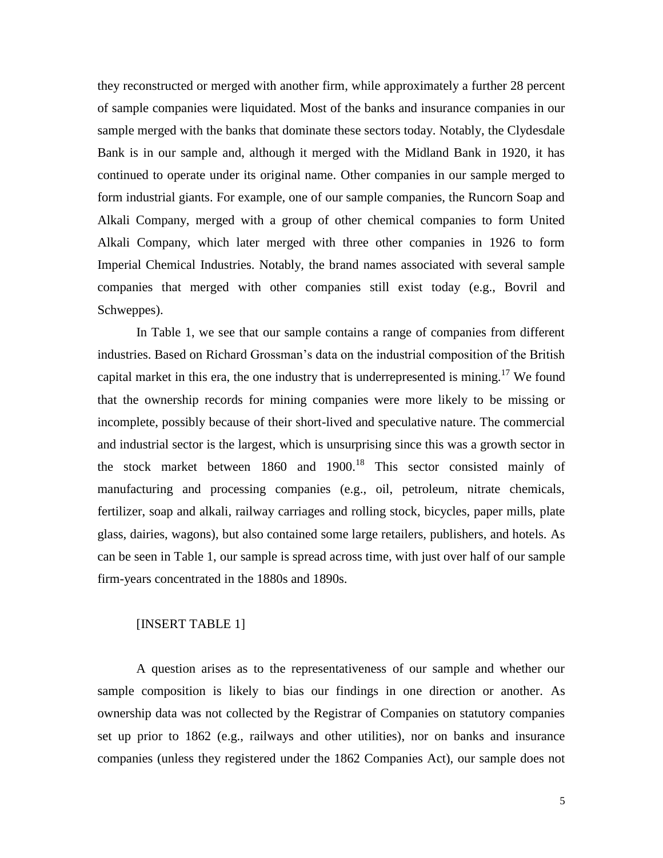they reconstructed or merged with another firm, while approximately a further 28 percent of sample companies were liquidated. Most of the banks and insurance companies in our sample merged with the banks that dominate these sectors today. Notably, the Clydesdale Bank is in our sample and, although it merged with the Midland Bank in 1920, it has continued to operate under its original name. Other companies in our sample merged to form industrial giants. For example, one of our sample companies, the Runcorn Soap and Alkali Company, merged with a group of other chemical companies to form United Alkali Company, which later merged with three other companies in 1926 to form Imperial Chemical Industries. Notably, the brand names associated with several sample companies that merged with other companies still exist today (e.g., Bovril and Schweppes).

In Table 1, we see that our sample contains a range of companies from different industries. Based on Richard Grossman's data on the industrial composition of the British capital market in this era, the one industry that is underrepresented is mining.<sup>17</sup> We found that the ownership records for mining companies were more likely to be missing or incomplete, possibly because of their short-lived and speculative nature. The commercial and industrial sector is the largest, which is unsurprising since this was a growth sector in the stock market between  $1860$  and  $1900$ .<sup>18</sup> This sector consisted mainly of manufacturing and processing companies (e.g., oil, petroleum, nitrate chemicals, fertilizer, soap and alkali, railway carriages and rolling stock, bicycles, paper mills, plate glass, dairies, wagons), but also contained some large retailers, publishers, and hotels. As can be seen in Table 1, our sample is spread across time, with just over half of our sample firm-years concentrated in the 1880s and 1890s.

### [INSERT TABLE 1]

A question arises as to the representativeness of our sample and whether our sample composition is likely to bias our findings in one direction or another. As ownership data was not collected by the Registrar of Companies on statutory companies set up prior to 1862 (e.g., railways and other utilities), nor on banks and insurance companies (unless they registered under the 1862 Companies Act), our sample does not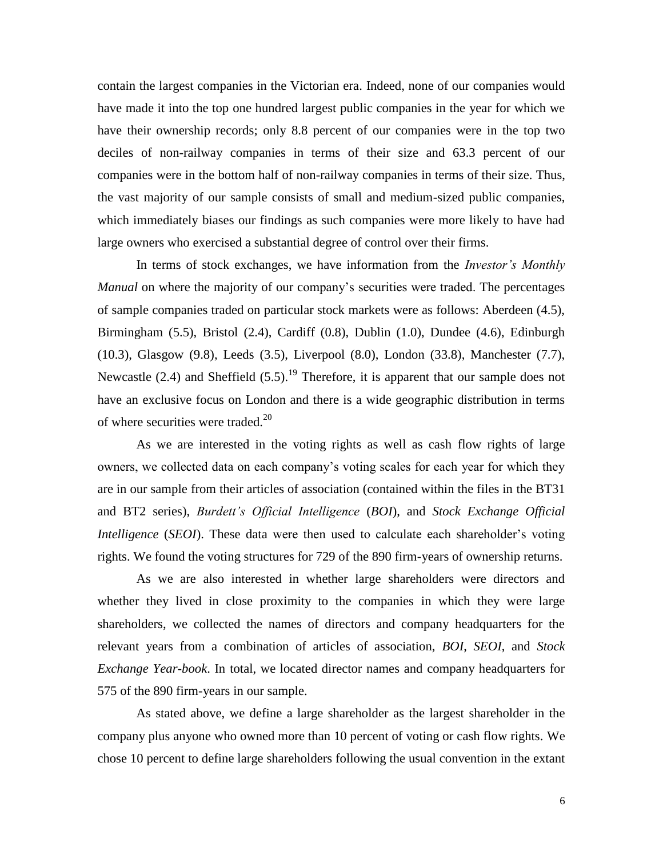contain the largest companies in the Victorian era. Indeed, none of our companies would have made it into the top one hundred largest public companies in the year for which we have their ownership records; only 8.8 percent of our companies were in the top two deciles of non-railway companies in terms of their size and 63.3 percent of our companies were in the bottom half of non-railway companies in terms of their size. Thus, the vast majority of our sample consists of small and medium-sized public companies, which immediately biases our findings as such companies were more likely to have had large owners who exercised a substantial degree of control over their firms.

In terms of stock exchanges, we have information from the *Investor's Monthly Manual* on where the majority of our company's securities were traded. The percentages of sample companies traded on particular stock markets were as follows: Aberdeen (4.5), Birmingham (5.5), Bristol (2.4), Cardiff (0.8), Dublin (1.0), Dundee (4.6), Edinburgh (10.3), Glasgow (9.8), Leeds (3.5), Liverpool (8.0), London (33.8), Manchester (7.7), Newcastle (2.4) and Sheffield (5.5).<sup>19</sup> Therefore, it is apparent that our sample does not have an exclusive focus on London and there is a wide geographic distribution in terms of where securities were traded. $20$ 

As we are interested in the voting rights as well as cash flow rights of large owners, we collected data on each company's voting scales for each year for which they are in our sample from their articles of association (contained within the files in the BT31 and BT2 series), *Burdett's Official Intelligence* (*BOI*), and *Stock Exchange Official Intelligence* (*SEOI*). These data were then used to calculate each shareholder's voting rights. We found the voting structures for 729 of the 890 firm-years of ownership returns.

As we are also interested in whether large shareholders were directors and whether they lived in close proximity to the companies in which they were large shareholders, we collected the names of directors and company headquarters for the relevant years from a combination of articles of association, *BOI*, *SEOI*, and *Stock Exchange Year-book*. In total, we located director names and company headquarters for 575 of the 890 firm-years in our sample.

As stated above, we define a large shareholder as the largest shareholder in the company plus anyone who owned more than 10 percent of voting or cash flow rights. We chose 10 percent to define large shareholders following the usual convention in the extant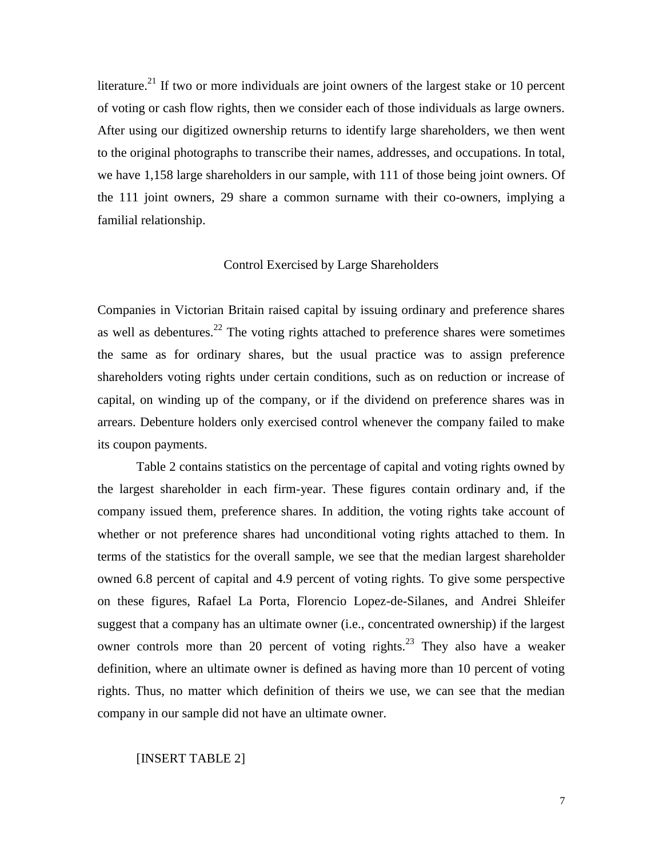literature.<sup>21</sup> If two or more individuals are joint owners of the largest stake or 10 percent of voting or cash flow rights, then we consider each of those individuals as large owners. After using our digitized ownership returns to identify large shareholders, we then went to the original photographs to transcribe their names, addresses, and occupations. In total, we have 1,158 large shareholders in our sample, with 111 of those being joint owners. Of the 111 joint owners, 29 share a common surname with their co-owners, implying a familial relationship.

# Control Exercised by Large Shareholders

Companies in Victorian Britain raised capital by issuing ordinary and preference shares as well as debentures.<sup>22</sup> The voting rights attached to preference shares were sometimes the same as for ordinary shares, but the usual practice was to assign preference shareholders voting rights under certain conditions, such as on reduction or increase of capital, on winding up of the company, or if the dividend on preference shares was in arrears. Debenture holders only exercised control whenever the company failed to make its coupon payments.

Table 2 contains statistics on the percentage of capital and voting rights owned by the largest shareholder in each firm-year. These figures contain ordinary and, if the company issued them, preference shares. In addition, the voting rights take account of whether or not preference shares had unconditional voting rights attached to them. In terms of the statistics for the overall sample, we see that the median largest shareholder owned 6.8 percent of capital and 4.9 percent of voting rights. To give some perspective on these figures, Rafael La Porta, Florencio Lopez-de-Silanes, and Andrei Shleifer suggest that a company has an ultimate owner (i.e., concentrated ownership) if the largest owner controls more than 20 percent of voting rights.<sup>23</sup> They also have a weaker definition, where an ultimate owner is defined as having more than 10 percent of voting rights. Thus, no matter which definition of theirs we use, we can see that the median company in our sample did not have an ultimate owner.

### [INSERT TABLE 2]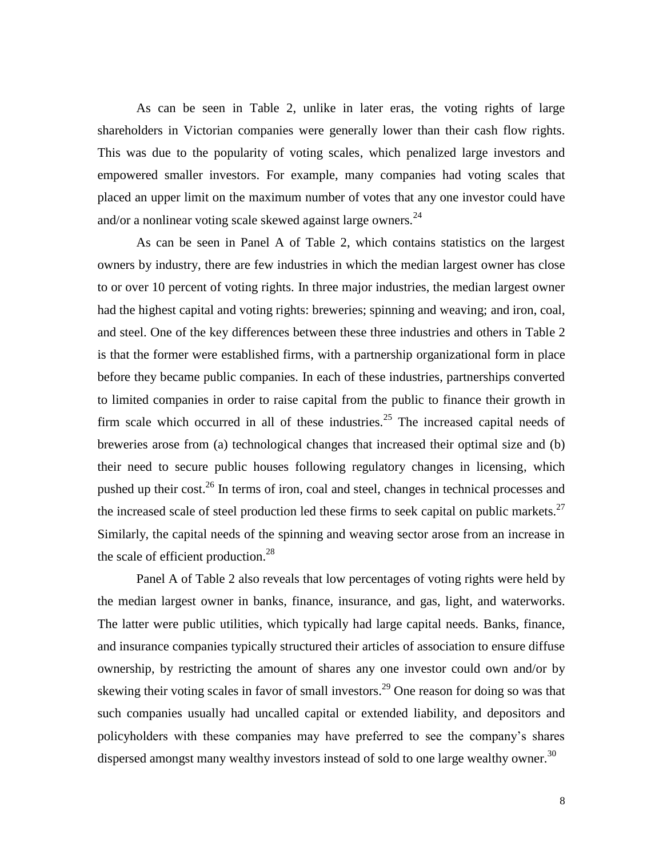As can be seen in Table 2, unlike in later eras, the voting rights of large shareholders in Victorian companies were generally lower than their cash flow rights. This was due to the popularity of voting scales, which penalized large investors and empowered smaller investors. For example, many companies had voting scales that placed an upper limit on the maximum number of votes that any one investor could have and/or a nonlinear voting scale skewed against large owners. $^{24}$ 

As can be seen in Panel A of Table 2, which contains statistics on the largest owners by industry, there are few industries in which the median largest owner has close to or over 10 percent of voting rights. In three major industries, the median largest owner had the highest capital and voting rights: breweries; spinning and weaving; and iron, coal, and steel. One of the key differences between these three industries and others in Table 2 is that the former were established firms, with a partnership organizational form in place before they became public companies. In each of these industries, partnerships converted to limited companies in order to raise capital from the public to finance their growth in firm scale which occurred in all of these industries.<sup>25</sup> The increased capital needs of breweries arose from (a) technological changes that increased their optimal size and (b) their need to secure public houses following regulatory changes in licensing, which pushed up their cost.<sup>26</sup> In terms of iron, coal and steel, changes in technical processes and the increased scale of steel production led these firms to seek capital on public markets. $27$ Similarly, the capital needs of the spinning and weaving sector arose from an increase in the scale of efficient production. $^{28}$ 

Panel A of Table 2 also reveals that low percentages of voting rights were held by the median largest owner in banks, finance, insurance, and gas, light, and waterworks. The latter were public utilities, which typically had large capital needs. Banks, finance, and insurance companies typically structured their articles of association to ensure diffuse ownership, by restricting the amount of shares any one investor could own and/or by skewing their voting scales in favor of small investors.<sup>29</sup> One reason for doing so was that such companies usually had uncalled capital or extended liability, and depositors and policyholders with these companies may have preferred to see the company's shares dispersed amongst many wealthy investors instead of sold to one large wealthy owner.<sup>30</sup>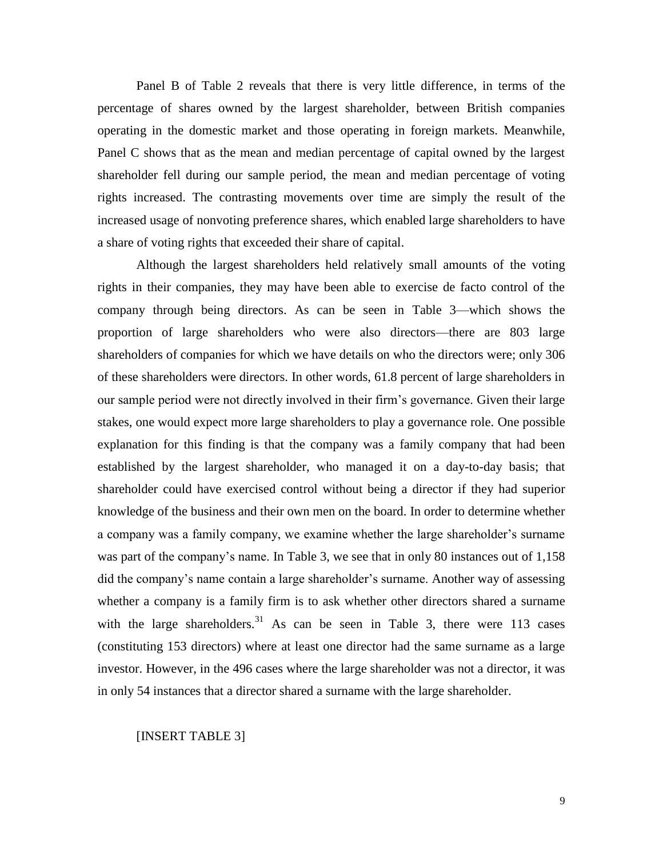Panel B of Table 2 reveals that there is very little difference, in terms of the percentage of shares owned by the largest shareholder, between British companies operating in the domestic market and those operating in foreign markets. Meanwhile, Panel C shows that as the mean and median percentage of capital owned by the largest shareholder fell during our sample period, the mean and median percentage of voting rights increased. The contrasting movements over time are simply the result of the increased usage of nonvoting preference shares, which enabled large shareholders to have a share of voting rights that exceeded their share of capital.

Although the largest shareholders held relatively small amounts of the voting rights in their companies, they may have been able to exercise de facto control of the company through being directors. As can be seen in Table 3—which shows the proportion of large shareholders who were also directors—there are 803 large shareholders of companies for which we have details on who the directors were; only 306 of these shareholders were directors. In other words, 61.8 percent of large shareholders in our sample period were not directly involved in their firm's governance. Given their large stakes, one would expect more large shareholders to play a governance role. One possible explanation for this finding is that the company was a family company that had been established by the largest shareholder, who managed it on a day-to-day basis; that shareholder could have exercised control without being a director if they had superior knowledge of the business and their own men on the board. In order to determine whether a company was a family company, we examine whether the large shareholder's surname was part of the company's name. In Table 3, we see that in only 80 instances out of 1,158 did the company's name contain a large shareholder's surname. Another way of assessing whether a company is a family firm is to ask whether other directors shared a surname with the large shareholders.<sup>31</sup> As can be seen in Table 3, there were 113 cases (constituting 153 directors) where at least one director had the same surname as a large investor. However, in the 496 cases where the large shareholder was not a director, it was in only 54 instances that a director shared a surname with the large shareholder.

[INSERT TABLE 3]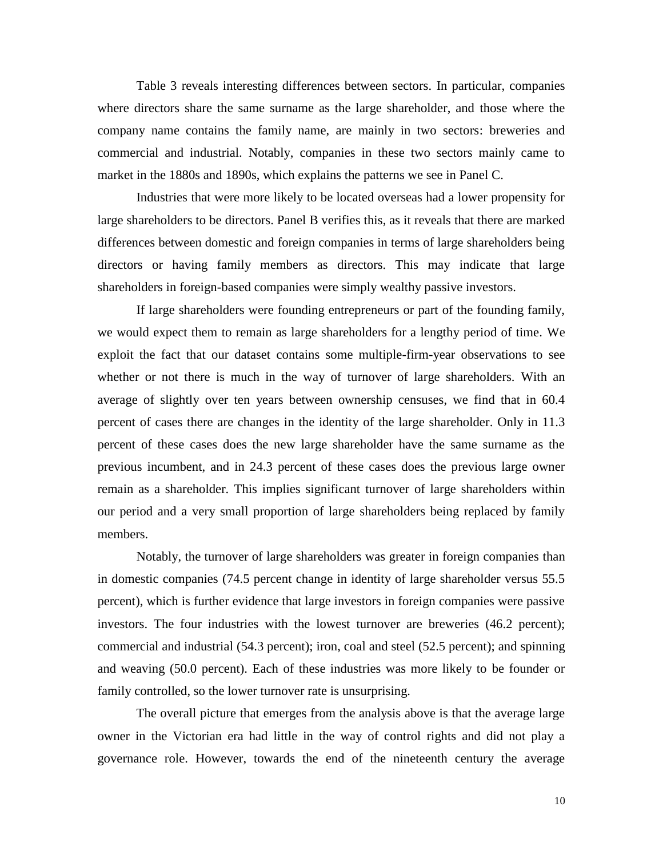Table 3 reveals interesting differences between sectors. In particular, companies where directors share the same surname as the large shareholder, and those where the company name contains the family name, are mainly in two sectors: breweries and commercial and industrial. Notably, companies in these two sectors mainly came to market in the 1880s and 1890s, which explains the patterns we see in Panel C.

Industries that were more likely to be located overseas had a lower propensity for large shareholders to be directors. Panel B verifies this, as it reveals that there are marked differences between domestic and foreign companies in terms of large shareholders being directors or having family members as directors. This may indicate that large shareholders in foreign-based companies were simply wealthy passive investors.

If large shareholders were founding entrepreneurs or part of the founding family, we would expect them to remain as large shareholders for a lengthy period of time. We exploit the fact that our dataset contains some multiple-firm-year observations to see whether or not there is much in the way of turnover of large shareholders. With an average of slightly over ten years between ownership censuses, we find that in 60.4 percent of cases there are changes in the identity of the large shareholder. Only in 11.3 percent of these cases does the new large shareholder have the same surname as the previous incumbent, and in 24.3 percent of these cases does the previous large owner remain as a shareholder. This implies significant turnover of large shareholders within our period and a very small proportion of large shareholders being replaced by family members.

Notably, the turnover of large shareholders was greater in foreign companies than in domestic companies (74.5 percent change in identity of large shareholder versus 55.5 percent), which is further evidence that large investors in foreign companies were passive investors. The four industries with the lowest turnover are breweries (46.2 percent); commercial and industrial (54.3 percent); iron, coal and steel (52.5 percent); and spinning and weaving (50.0 percent). Each of these industries was more likely to be founder or family controlled, so the lower turnover rate is unsurprising.

The overall picture that emerges from the analysis above is that the average large owner in the Victorian era had little in the way of control rights and did not play a governance role. However, towards the end of the nineteenth century the average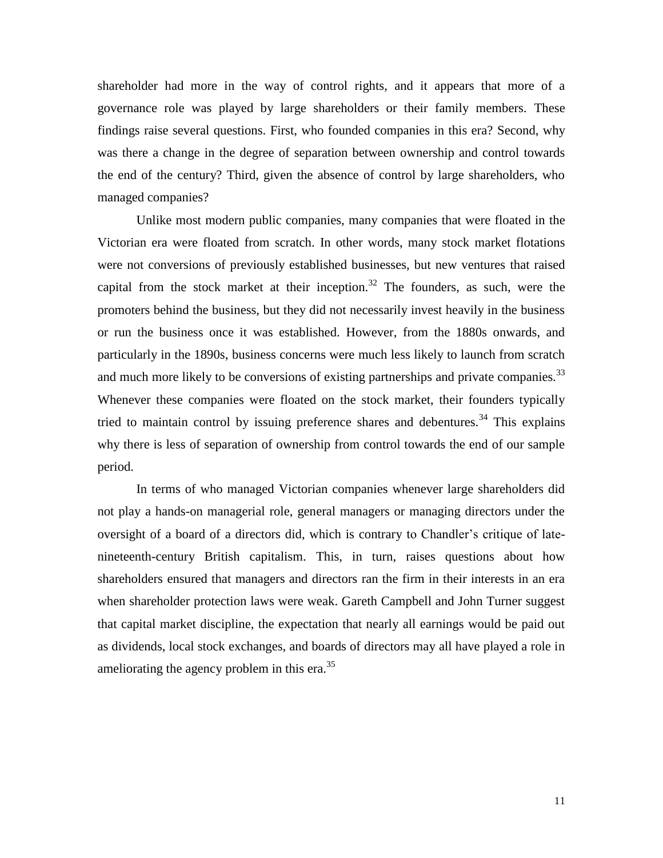shareholder had more in the way of control rights, and it appears that more of a governance role was played by large shareholders or their family members. These findings raise several questions. First, who founded companies in this era? Second, why was there a change in the degree of separation between ownership and control towards the end of the century? Third, given the absence of control by large shareholders, who managed companies?

Unlike most modern public companies, many companies that were floated in the Victorian era were floated from scratch. In other words, many stock market flotations were not conversions of previously established businesses, but new ventures that raised capital from the stock market at their inception.<sup>32</sup> The founders, as such, were the promoters behind the business, but they did not necessarily invest heavily in the business or run the business once it was established. However, from the 1880s onwards, and particularly in the 1890s, business concerns were much less likely to launch from scratch and much more likely to be conversions of existing partnerships and private companies.<sup>33</sup> Whenever these companies were floated on the stock market, their founders typically tried to maintain control by issuing preference shares and debentures.<sup>34</sup> This explains why there is less of separation of ownership from control towards the end of our sample period.

In terms of who managed Victorian companies whenever large shareholders did not play a hands-on managerial role, general managers or managing directors under the oversight of a board of a directors did, which is contrary to Chandler's critique of latenineteenth-century British capitalism. This, in turn, raises questions about how shareholders ensured that managers and directors ran the firm in their interests in an era when shareholder protection laws were weak. Gareth Campbell and John Turner suggest that capital market discipline, the expectation that nearly all earnings would be paid out as dividends, local stock exchanges, and boards of directors may all have played a role in ameliorating the agency problem in this era.<sup>35</sup>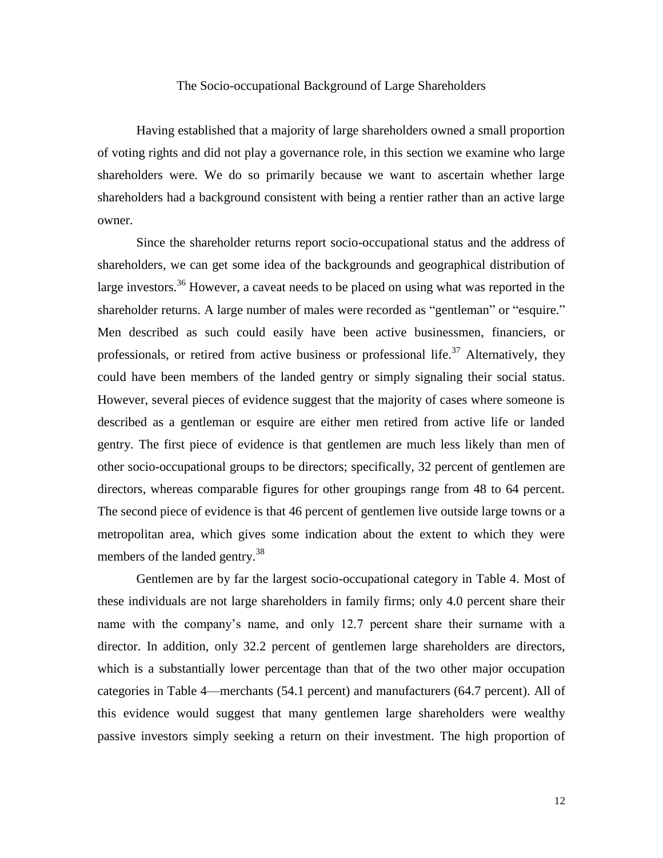# The Socio-occupational Background of Large Shareholders

Having established that a majority of large shareholders owned a small proportion of voting rights and did not play a governance role, in this section we examine who large shareholders were. We do so primarily because we want to ascertain whether large shareholders had a background consistent with being a rentier rather than an active large owner.

Since the shareholder returns report socio-occupational status and the address of shareholders, we can get some idea of the backgrounds and geographical distribution of large investors.<sup>36</sup> However, a caveat needs to be placed on using what was reported in the shareholder returns. A large number of males were recorded as "gentleman" or "esquire." Men described as such could easily have been active businessmen, financiers, or professionals, or retired from active business or professional life.<sup>37</sup> Alternatively, they could have been members of the landed gentry or simply signaling their social status. However, several pieces of evidence suggest that the majority of cases where someone is described as a gentleman or esquire are either men retired from active life or landed gentry. The first piece of evidence is that gentlemen are much less likely than men of other socio-occupational groups to be directors; specifically, 32 percent of gentlemen are directors, whereas comparable figures for other groupings range from 48 to 64 percent. The second piece of evidence is that 46 percent of gentlemen live outside large towns or a metropolitan area, which gives some indication about the extent to which they were members of the landed gentry.<sup>38</sup>

Gentlemen are by far the largest socio-occupational category in Table 4. Most of these individuals are not large shareholders in family firms; only 4.0 percent share their name with the company's name, and only 12.7 percent share their surname with a director. In addition, only 32.2 percent of gentlemen large shareholders are directors, which is a substantially lower percentage than that of the two other major occupation categories in Table 4—merchants (54.1 percent) and manufacturers (64.7 percent). All of this evidence would suggest that many gentlemen large shareholders were wealthy passive investors simply seeking a return on their investment. The high proportion of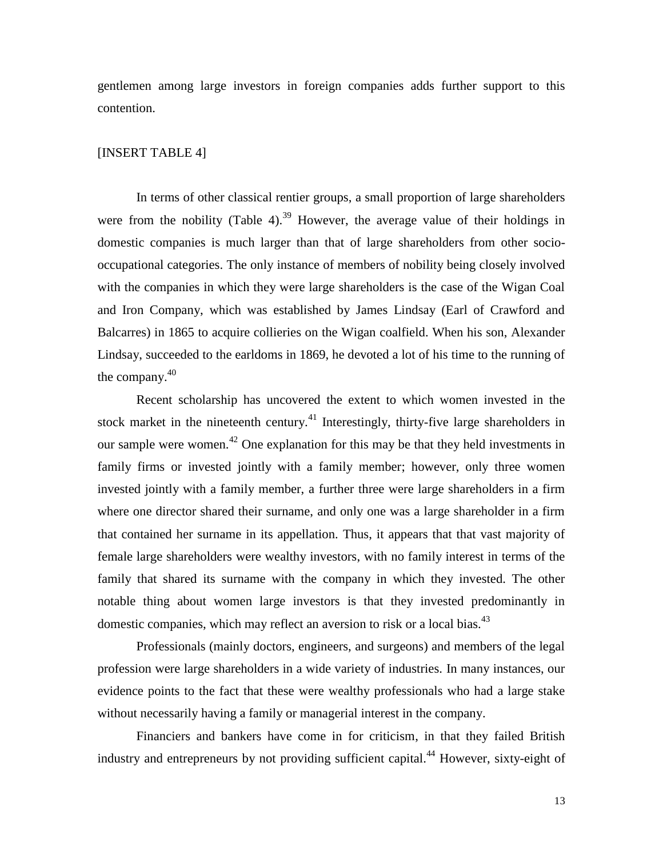gentlemen among large investors in foreign companies adds further support to this contention.

# [INSERT TABLE 4]

In terms of other classical rentier groups, a small proportion of large shareholders were from the nobility (Table 4).<sup>39</sup> However, the average value of their holdings in domestic companies is much larger than that of large shareholders from other sociooccupational categories. The only instance of members of nobility being closely involved with the companies in which they were large shareholders is the case of the Wigan Coal and Iron Company, which was established by James Lindsay (Earl of Crawford and Balcarres) in 1865 to acquire collieries on the Wigan coalfield. When his son, Alexander Lindsay, succeeded to the earldoms in 1869, he devoted a lot of his time to the running of the company.<sup>40</sup>

Recent scholarship has uncovered the extent to which women invested in the stock market in the nineteenth century.<sup>41</sup> Interestingly, thirty-five large shareholders in our sample were women.<sup>42</sup> One explanation for this may be that they held investments in family firms or invested jointly with a family member; however, only three women invested jointly with a family member, a further three were large shareholders in a firm where one director shared their surname, and only one was a large shareholder in a firm that contained her surname in its appellation. Thus, it appears that that vast majority of female large shareholders were wealthy investors, with no family interest in terms of the family that shared its surname with the company in which they invested. The other notable thing about women large investors is that they invested predominantly in domestic companies, which may reflect an aversion to risk or a local bias.<sup>43</sup>

Professionals (mainly doctors, engineers, and surgeons) and members of the legal profession were large shareholders in a wide variety of industries. In many instances, our evidence points to the fact that these were wealthy professionals who had a large stake without necessarily having a family or managerial interest in the company.

Financiers and bankers have come in for criticism, in that they failed British industry and entrepreneurs by not providing sufficient capital.<sup>44</sup> However, sixty-eight of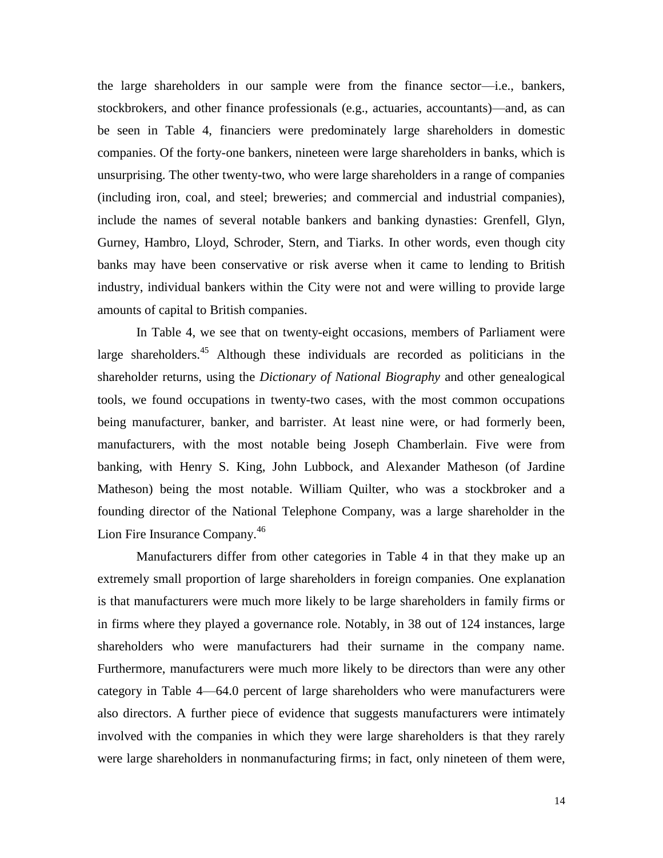the large shareholders in our sample were from the finance sector—i.e., bankers, stockbrokers, and other finance professionals (e.g., actuaries, accountants)—and, as can be seen in Table 4, financiers were predominately large shareholders in domestic companies. Of the forty-one bankers, nineteen were large shareholders in banks, which is unsurprising. The other twenty-two, who were large shareholders in a range of companies (including iron, coal, and steel; breweries; and commercial and industrial companies), include the names of several notable bankers and banking dynasties: Grenfell, Glyn, Gurney, Hambro, Lloyd, Schroder, Stern, and Tiarks. In other words, even though city banks may have been conservative or risk averse when it came to lending to British industry, individual bankers within the City were not and were willing to provide large amounts of capital to British companies.

In Table 4, we see that on twenty-eight occasions, members of Parliament were large shareholders.<sup>45</sup> Although these individuals are recorded as politicians in the shareholder returns, using the *Dictionary of National Biography* and other genealogical tools, we found occupations in twenty-two cases, with the most common occupations being manufacturer, banker, and barrister. At least nine were, or had formerly been, manufacturers, with the most notable being Joseph Chamberlain. Five were from banking, with Henry S. King, John Lubbock, and Alexander Matheson (of Jardine Matheson) being the most notable. William Quilter, who was a stockbroker and a founding director of the National Telephone Company, was a large shareholder in the Lion Fire Insurance Company.<sup>46</sup>

Manufacturers differ from other categories in Table 4 in that they make up an extremely small proportion of large shareholders in foreign companies. One explanation is that manufacturers were much more likely to be large shareholders in family firms or in firms where they played a governance role. Notably, in 38 out of 124 instances, large shareholders who were manufacturers had their surname in the company name. Furthermore, manufacturers were much more likely to be directors than were any other category in Table 4—64.0 percent of large shareholders who were manufacturers were also directors. A further piece of evidence that suggests manufacturers were intimately involved with the companies in which they were large shareholders is that they rarely were large shareholders in nonmanufacturing firms; in fact, only nineteen of them were,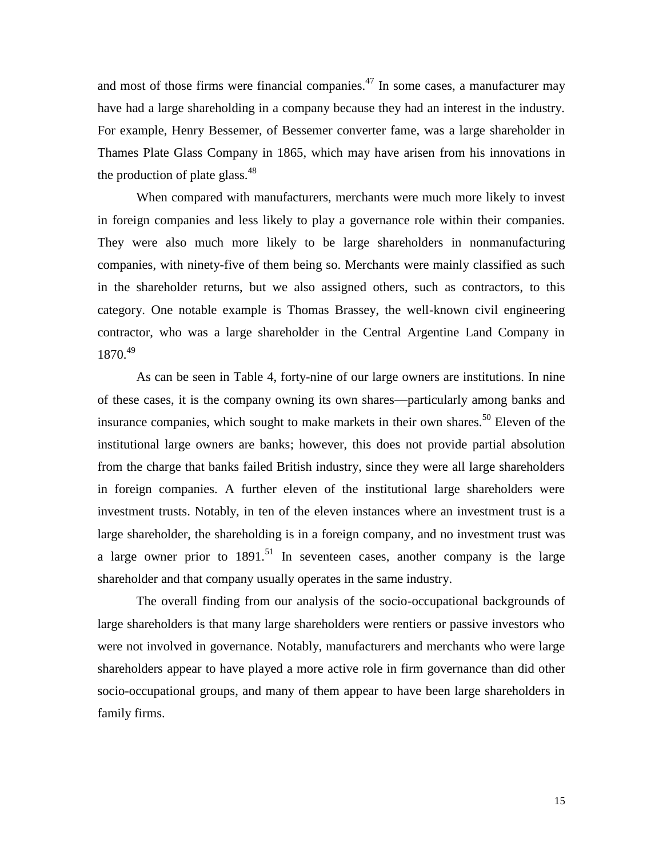and most of those firms were financial companies.<sup> $47$ </sup> In some cases, a manufacturer may have had a large shareholding in a company because they had an interest in the industry. For example, Henry Bessemer, of Bessemer converter fame, was a large shareholder in Thames Plate Glass Company in 1865, which may have arisen from his innovations in the production of plate glass. $48$ 

When compared with manufacturers, merchants were much more likely to invest in foreign companies and less likely to play a governance role within their companies. They were also much more likely to be large shareholders in nonmanufacturing companies, with ninety-five of them being so. Merchants were mainly classified as such in the shareholder returns, but we also assigned others, such as contractors, to this category. One notable example is Thomas Brassey, the well-known civil engineering contractor, who was a large shareholder in the Central Argentine Land Company in 1870.<sup>49</sup>

As can be seen in Table 4, forty-nine of our large owners are institutions. In nine of these cases, it is the company owning its own shares—particularly among banks and insurance companies, which sought to make markets in their own shares.<sup>50</sup> Eleven of the institutional large owners are banks; however, this does not provide partial absolution from the charge that banks failed British industry, since they were all large shareholders in foreign companies. A further eleven of the institutional large shareholders were investment trusts. Notably, in ten of the eleven instances where an investment trust is a large shareholder, the shareholding is in a foreign company, and no investment trust was a large owner prior to  $1891$ <sup>51</sup> In seventeen cases, another company is the large shareholder and that company usually operates in the same industry.

The overall finding from our analysis of the socio-occupational backgrounds of large shareholders is that many large shareholders were rentiers or passive investors who were not involved in governance. Notably, manufacturers and merchants who were large shareholders appear to have played a more active role in firm governance than did other socio-occupational groups, and many of them appear to have been large shareholders in family firms.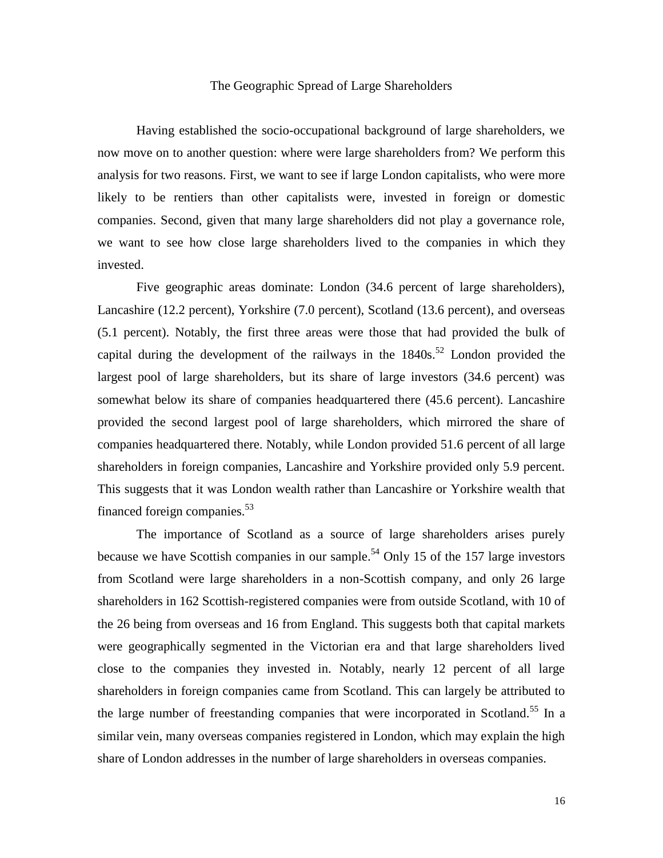# The Geographic Spread of Large Shareholders

Having established the socio-occupational background of large shareholders, we now move on to another question: where were large shareholders from? We perform this analysis for two reasons. First, we want to see if large London capitalists, who were more likely to be rentiers than other capitalists were, invested in foreign or domestic companies. Second, given that many large shareholders did not play a governance role, we want to see how close large shareholders lived to the companies in which they invested.

Five geographic areas dominate: London (34.6 percent of large shareholders), Lancashire (12.2 percent), Yorkshire (7.0 percent), Scotland (13.6 percent), and overseas (5.1 percent). Notably, the first three areas were those that had provided the bulk of capital during the development of the railways in the  $1840s$ <sup>52</sup> London provided the largest pool of large shareholders, but its share of large investors (34.6 percent) was somewhat below its share of companies headquartered there (45.6 percent). Lancashire provided the second largest pool of large shareholders, which mirrored the share of companies headquartered there. Notably, while London provided 51.6 percent of all large shareholders in foreign companies, Lancashire and Yorkshire provided only 5.9 percent. This suggests that it was London wealth rather than Lancashire or Yorkshire wealth that financed foreign companies. $53$ 

The importance of Scotland as a source of large shareholders arises purely because we have Scottish companies in our sample.<sup>54</sup> Only 15 of the 157 large investors from Scotland were large shareholders in a non-Scottish company, and only 26 large shareholders in 162 Scottish-registered companies were from outside Scotland, with 10 of the 26 being from overseas and 16 from England. This suggests both that capital markets were geographically segmented in the Victorian era and that large shareholders lived close to the companies they invested in. Notably, nearly 12 percent of all large shareholders in foreign companies came from Scotland. This can largely be attributed to the large number of freestanding companies that were incorporated in Scotland.<sup>55</sup> In a similar vein, many overseas companies registered in London, which may explain the high share of London addresses in the number of large shareholders in overseas companies.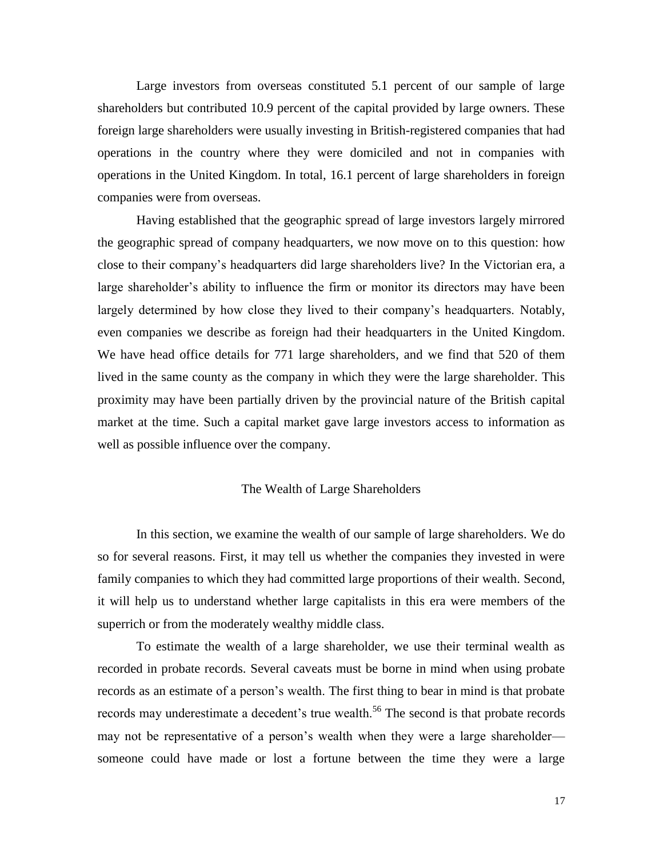Large investors from overseas constituted 5.1 percent of our sample of large shareholders but contributed 10.9 percent of the capital provided by large owners. These foreign large shareholders were usually investing in British-registered companies that had operations in the country where they were domiciled and not in companies with operations in the United Kingdom. In total, 16.1 percent of large shareholders in foreign companies were from overseas.

Having established that the geographic spread of large investors largely mirrored the geographic spread of company headquarters, we now move on to this question: how close to their company's headquarters did large shareholders live? In the Victorian era, a large shareholder's ability to influence the firm or monitor its directors may have been largely determined by how close they lived to their company's headquarters. Notably, even companies we describe as foreign had their headquarters in the United Kingdom. We have head office details for 771 large shareholders, and we find that 520 of them lived in the same county as the company in which they were the large shareholder. This proximity may have been partially driven by the provincial nature of the British capital market at the time. Such a capital market gave large investors access to information as well as possible influence over the company.

# The Wealth of Large Shareholders

In this section, we examine the wealth of our sample of large shareholders. We do so for several reasons. First, it may tell us whether the companies they invested in were family companies to which they had committed large proportions of their wealth. Second, it will help us to understand whether large capitalists in this era were members of the superrich or from the moderately wealthy middle class.

To estimate the wealth of a large shareholder, we use their terminal wealth as recorded in probate records. Several caveats must be borne in mind when using probate records as an estimate of a person's wealth. The first thing to bear in mind is that probate records may underestimate a decedent's true wealth.<sup>56</sup> The second is that probate records may not be representative of a person's wealth when they were a large shareholder someone could have made or lost a fortune between the time they were a large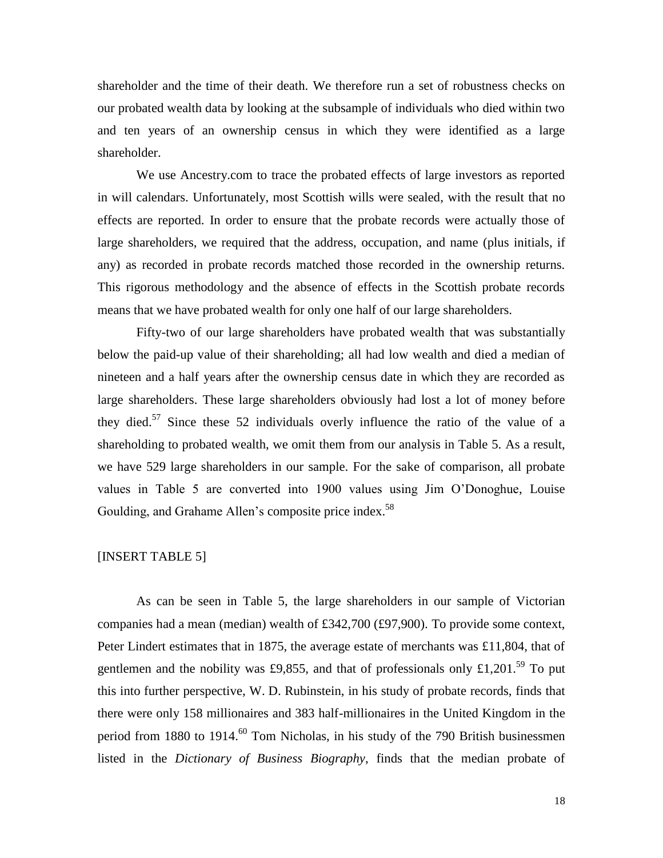shareholder and the time of their death. We therefore run a set of robustness checks on our probated wealth data by looking at the subsample of individuals who died within two and ten years of an ownership census in which they were identified as a large shareholder.

We use Ancestry.com to trace the probated effects of large investors as reported in will calendars. Unfortunately, most Scottish wills were sealed, with the result that no effects are reported. In order to ensure that the probate records were actually those of large shareholders, we required that the address, occupation, and name (plus initials, if any) as recorded in probate records matched those recorded in the ownership returns. This rigorous methodology and the absence of effects in the Scottish probate records means that we have probated wealth for only one half of our large shareholders.

Fifty-two of our large shareholders have probated wealth that was substantially below the paid-up value of their shareholding; all had low wealth and died a median of nineteen and a half years after the ownership census date in which they are recorded as large shareholders. These large shareholders obviously had lost a lot of money before they died.<sup>57</sup> Since these 52 individuals overly influence the ratio of the value of a shareholding to probated wealth, we omit them from our analysis in Table 5. As a result, we have 529 large shareholders in our sample. For the sake of comparison, all probate values in Table 5 are converted into 1900 values using Jim O'Donoghue, Louise Goulding, and Grahame Allen's composite price index.<sup>58</sup>

# [INSERT TABLE 5]

As can be seen in Table 5, the large shareholders in our sample of Victorian companies had a mean (median) wealth of £342,700 (£97,900). To provide some context, Peter Lindert estimates that in 1875, the average estate of merchants was £11,804, that of gentlemen and the nobility was £9,855, and that of professionals only £1,201.<sup>59</sup> To put this into further perspective, W. D. Rubinstein, in his study of probate records, finds that there were only 158 millionaires and 383 half-millionaires in the United Kingdom in the period from  $1880$  to  $1914$ .<sup>60</sup> Tom Nicholas, in his study of the 790 British businessmen listed in the *Dictionary of Business Biography*, finds that the median probate of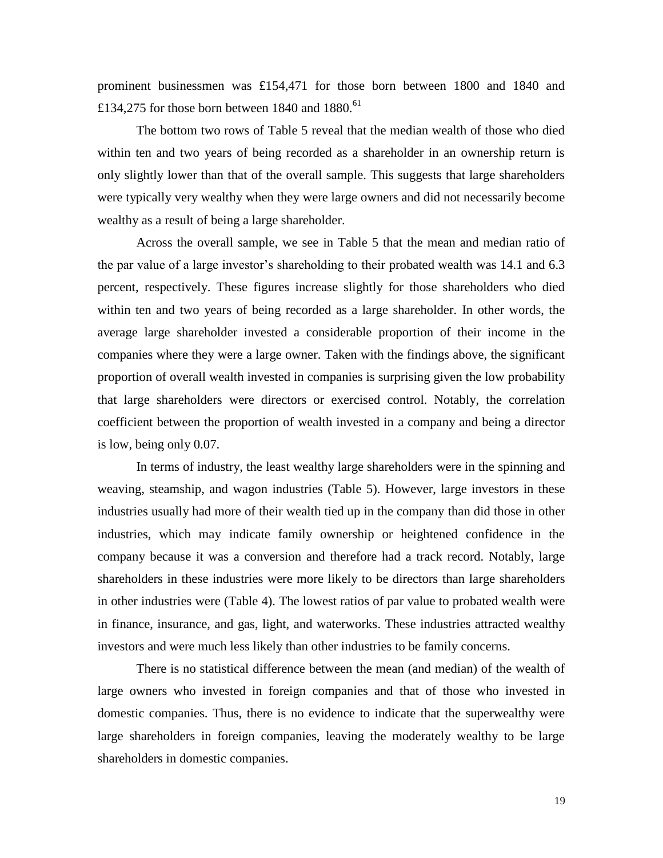prominent businessmen was £154,471 for those born between 1800 and 1840 and £134,275 for those born between 1840 and 1880.<sup>61</sup>

The bottom two rows of Table 5 reveal that the median wealth of those who died within ten and two years of being recorded as a shareholder in an ownership return is only slightly lower than that of the overall sample. This suggests that large shareholders were typically very wealthy when they were large owners and did not necessarily become wealthy as a result of being a large shareholder.

Across the overall sample, we see in Table 5 that the mean and median ratio of the par value of a large investor's shareholding to their probated wealth was 14.1 and 6.3 percent, respectively. These figures increase slightly for those shareholders who died within ten and two years of being recorded as a large shareholder. In other words, the average large shareholder invested a considerable proportion of their income in the companies where they were a large owner. Taken with the findings above, the significant proportion of overall wealth invested in companies is surprising given the low probability that large shareholders were directors or exercised control. Notably, the correlation coefficient between the proportion of wealth invested in a company and being a director is low, being only 0.07.

In terms of industry, the least wealthy large shareholders were in the spinning and weaving, steamship, and wagon industries (Table 5). However, large investors in these industries usually had more of their wealth tied up in the company than did those in other industries, which may indicate family ownership or heightened confidence in the company because it was a conversion and therefore had a track record. Notably, large shareholders in these industries were more likely to be directors than large shareholders in other industries were (Table 4). The lowest ratios of par value to probated wealth were in finance, insurance, and gas, light, and waterworks. These industries attracted wealthy investors and were much less likely than other industries to be family concerns.

There is no statistical difference between the mean (and median) of the wealth of large owners who invested in foreign companies and that of those who invested in domestic companies. Thus, there is no evidence to indicate that the superwealthy were large shareholders in foreign companies, leaving the moderately wealthy to be large shareholders in domestic companies.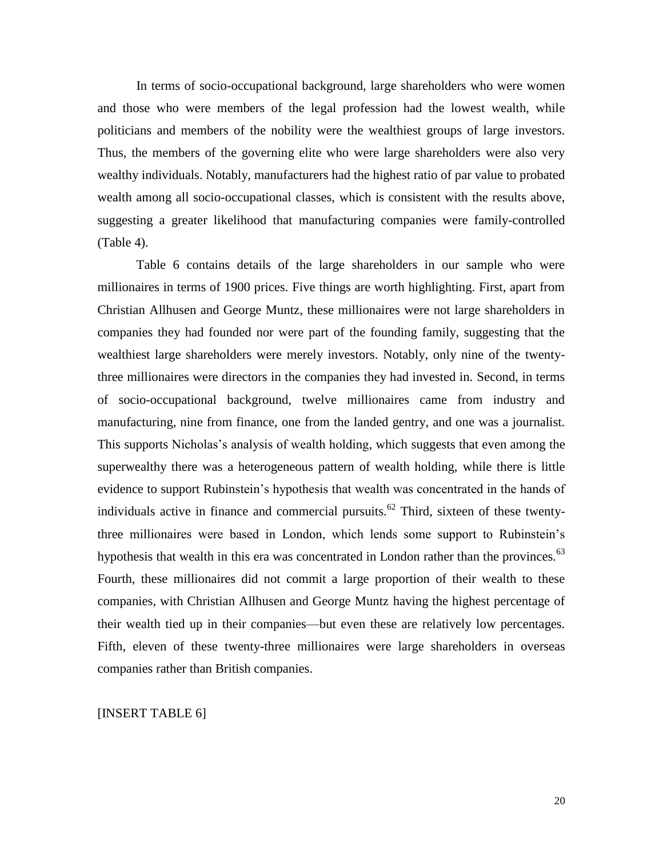In terms of socio-occupational background, large shareholders who were women and those who were members of the legal profession had the lowest wealth, while politicians and members of the nobility were the wealthiest groups of large investors. Thus, the members of the governing elite who were large shareholders were also very wealthy individuals. Notably, manufacturers had the highest ratio of par value to probated wealth among all socio-occupational classes, which is consistent with the results above, suggesting a greater likelihood that manufacturing companies were family-controlled (Table 4).

Table 6 contains details of the large shareholders in our sample who were millionaires in terms of 1900 prices. Five things are worth highlighting. First, apart from Christian Allhusen and George Muntz, these millionaires were not large shareholders in companies they had founded nor were part of the founding family, suggesting that the wealthiest large shareholders were merely investors. Notably, only nine of the twentythree millionaires were directors in the companies they had invested in. Second, in terms of socio-occupational background, twelve millionaires came from industry and manufacturing, nine from finance, one from the landed gentry, and one was a journalist. This supports Nicholas's analysis of wealth holding, which suggests that even among the superwealthy there was a heterogeneous pattern of wealth holding, while there is little evidence to support Rubinstein's hypothesis that wealth was concentrated in the hands of individuals active in finance and commercial pursuits.<sup>62</sup> Third, sixteen of these twentythree millionaires were based in London, which lends some support to Rubinstein's hypothesis that wealth in this era was concentrated in London rather than the provinces.<sup>63</sup> Fourth, these millionaires did not commit a large proportion of their wealth to these companies, with Christian Allhusen and George Muntz having the highest percentage of their wealth tied up in their companies—but even these are relatively low percentages. Fifth, eleven of these twenty-three millionaires were large shareholders in overseas companies rather than British companies.

[INSERT TABLE 6]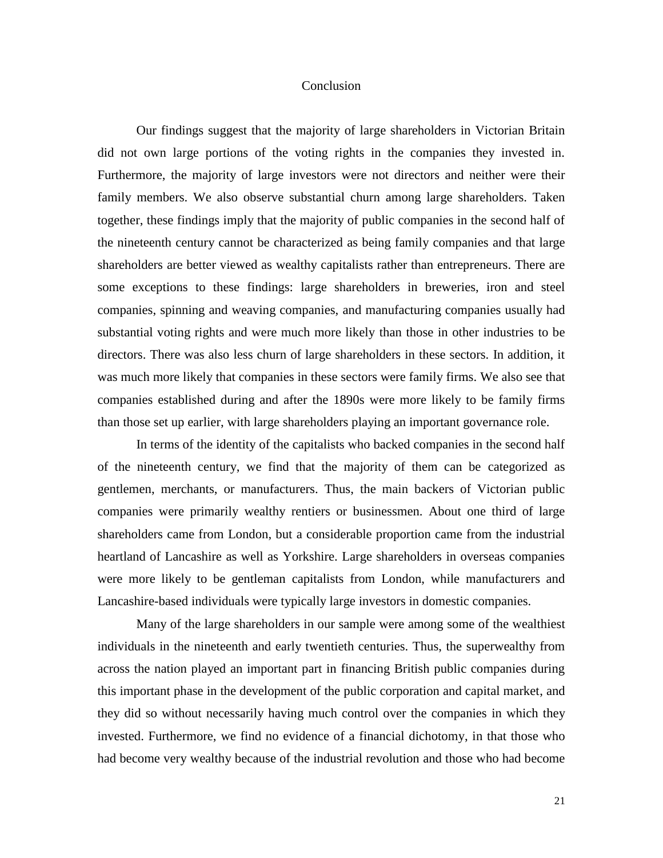# Conclusion

Our findings suggest that the majority of large shareholders in Victorian Britain did not own large portions of the voting rights in the companies they invested in. Furthermore, the majority of large investors were not directors and neither were their family members. We also observe substantial churn among large shareholders. Taken together, these findings imply that the majority of public companies in the second half of the nineteenth century cannot be characterized as being family companies and that large shareholders are better viewed as wealthy capitalists rather than entrepreneurs. There are some exceptions to these findings: large shareholders in breweries, iron and steel companies, spinning and weaving companies, and manufacturing companies usually had substantial voting rights and were much more likely than those in other industries to be directors. There was also less churn of large shareholders in these sectors. In addition, it was much more likely that companies in these sectors were family firms. We also see that companies established during and after the 1890s were more likely to be family firms than those set up earlier, with large shareholders playing an important governance role.

In terms of the identity of the capitalists who backed companies in the second half of the nineteenth century, we find that the majority of them can be categorized as gentlemen, merchants, or manufacturers. Thus, the main backers of Victorian public companies were primarily wealthy rentiers or businessmen. About one third of large shareholders came from London, but a considerable proportion came from the industrial heartland of Lancashire as well as Yorkshire. Large shareholders in overseas companies were more likely to be gentleman capitalists from London, while manufacturers and Lancashire-based individuals were typically large investors in domestic companies.

Many of the large shareholders in our sample were among some of the wealthiest individuals in the nineteenth and early twentieth centuries. Thus, the superwealthy from across the nation played an important part in financing British public companies during this important phase in the development of the public corporation and capital market, and they did so without necessarily having much control over the companies in which they invested. Furthermore, we find no evidence of a financial dichotomy, in that those who had become very wealthy because of the industrial revolution and those who had become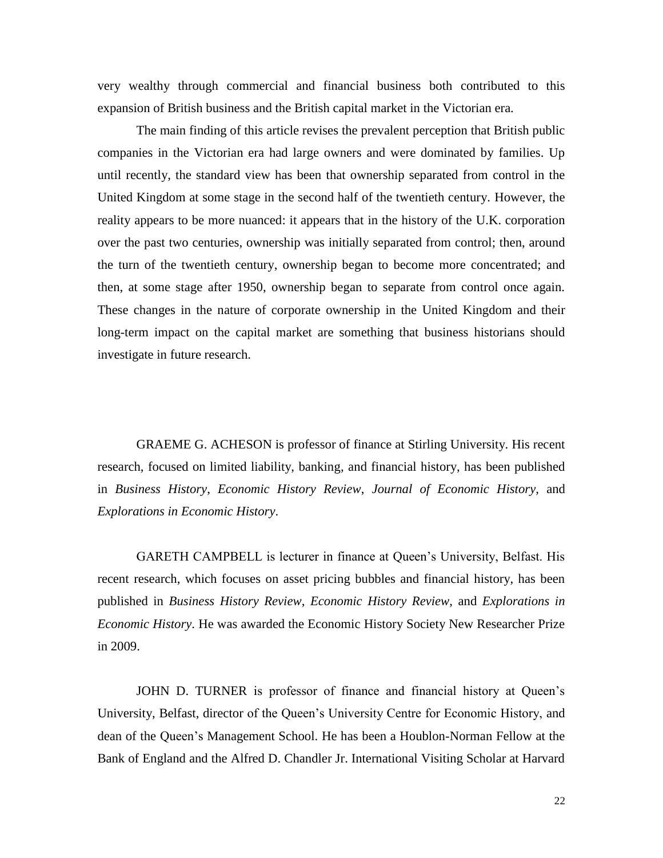very wealthy through commercial and financial business both contributed to this expansion of British business and the British capital market in the Victorian era.

The main finding of this article revises the prevalent perception that British public companies in the Victorian era had large owners and were dominated by families. Up until recently, the standard view has been that ownership separated from control in the United Kingdom at some stage in the second half of the twentieth century. However, the reality appears to be more nuanced: it appears that in the history of the U.K. corporation over the past two centuries, ownership was initially separated from control; then, around the turn of the twentieth century, ownership began to become more concentrated; and then, at some stage after 1950, ownership began to separate from control once again. These changes in the nature of corporate ownership in the United Kingdom and their long-term impact on the capital market are something that business historians should investigate in future research.

GRAEME G. ACHESON is professor of finance at Stirling University. His recent research, focused on limited liability, banking, and financial history, has been published in *Business History*, *Economic History Review*, *Journal of Economic History*, and *Explorations in Economic History*.

GARETH CAMPBELL is lecturer in finance at Queen's University, Belfast. His recent research, which focuses on asset pricing bubbles and financial history, has been published in *Business History Review*, *Economic History Review*, and *Explorations in Economic History*. He was awarded the Economic History Society New Researcher Prize in 2009.

JOHN D. TURNER is professor of finance and financial history at Queen's University, Belfast, director of the Queen's University Centre for Economic History, and dean of the Queen's Management School. He has been a Houblon-Norman Fellow at the Bank of England and the Alfred D. Chandler Jr. International Visiting Scholar at Harvard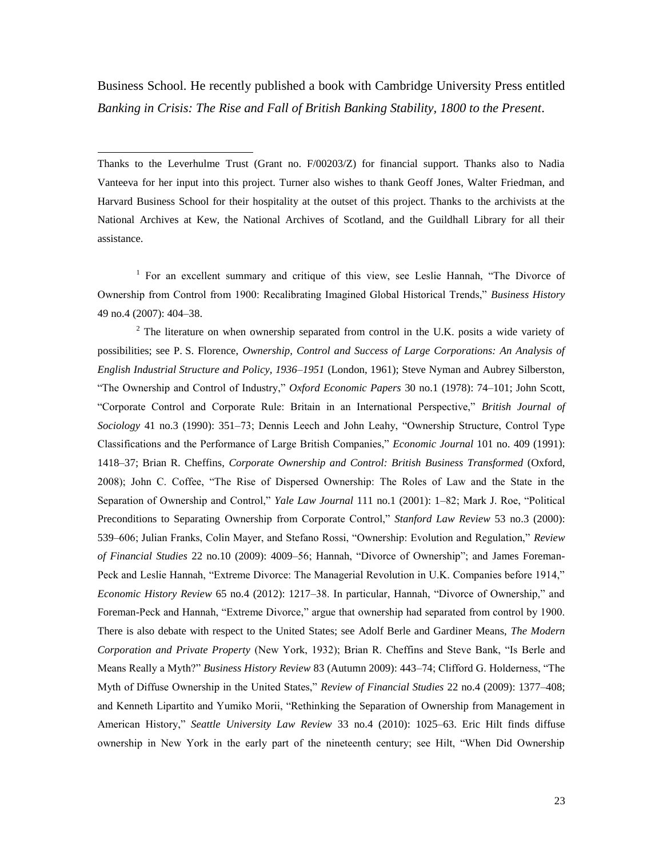Business School. He recently published a book with Cambridge University Press entitled *Banking in Crisis: The Rise and Fall of British Banking Stability, 1800 to the Present*.

Thanks to the Leverhulme Trust (Grant no. F/00203/Z) for financial support. Thanks also to Nadia Vanteeva for her input into this project. Turner also wishes to thank Geoff Jones, Walter Friedman, and Harvard Business School for their hospitality at the outset of this project. Thanks to the archivists at the National Archives at Kew, the National Archives of Scotland, and the Guildhall Library for all their assistance.

 $\overline{a}$ 

<sup>1</sup> For an excellent summary and critique of this view, see Leslie Hannah, "The Divorce of Ownership from Control from 1900: Recalibrating Imagined Global Historical Trends," *Business History* 49 no.4 (2007): 404–38.

 $2$  The literature on when ownership separated from control in the U.K. posits a wide variety of possibilities; see P. S. Florence, *Ownership, Control and Success of Large Corporations: An Analysis of English Industrial Structure and Policy, 1936–1951* (London, 1961); Steve Nyman and Aubrey Silberston, "The Ownership and Control of Industry," *Oxford Economic Papers* 30 no.1 (1978): 74–101; John Scott, "Corporate Control and Corporate Rule: Britain in an International Perspective," *British Journal of Sociology* 41 no.3 (1990): 351–73; Dennis Leech and John Leahy, "Ownership Structure, Control Type Classifications and the Performance of Large British Companies," *Economic Journal* 101 no. 409 (1991): 1418–37; Brian R. Cheffins, *Corporate Ownership and Control: British Business Transformed* (Oxford, 2008); John C. Coffee, "The Rise of Dispersed Ownership: The Roles of Law and the State in the Separation of Ownership and Control," *Yale Law Journal* 111 no.1 (2001): 1–82; Mark J. Roe, "Political Preconditions to Separating Ownership from Corporate Control," *Stanford Law Review* 53 no.3 (2000): 539–606; Julian Franks, Colin Mayer, and Stefano Rossi, "Ownership: Evolution and Regulation," *Review of Financial Studies* 22 no.10 (2009): 4009–56; Hannah, "Divorce of Ownership"; and James Foreman-Peck and Leslie Hannah, "Extreme Divorce: The Managerial Revolution in U.K. Companies before 1914," *Economic History Review* 65 no.4 (2012): 1217–38. In particular, Hannah, "Divorce of Ownership," and Foreman-Peck and Hannah, "Extreme Divorce," argue that ownership had separated from control by 1900. There is also debate with respect to the United States; see Adolf Berle and Gardiner Means, *The Modern Corporation and Private Property* (New York, 1932); Brian R. Cheffins and Steve Bank, "Is Berle and Means Really a Myth?" *Business History Review* 83 (Autumn 2009): 443–74; Clifford G. Holderness, "The Myth of Diffuse Ownership in the United States," *Review of Financial Studies* 22 no.4 (2009): 1377–408; and Kenneth Lipartito and Yumiko Morii, "Rethinking the Separation of Ownership from Management in American History," *Seattle University Law Review* 33 no.4 (2010): 1025–63. Eric Hilt finds diffuse ownership in New York in the early part of the nineteenth century; see Hilt, "When Did Ownership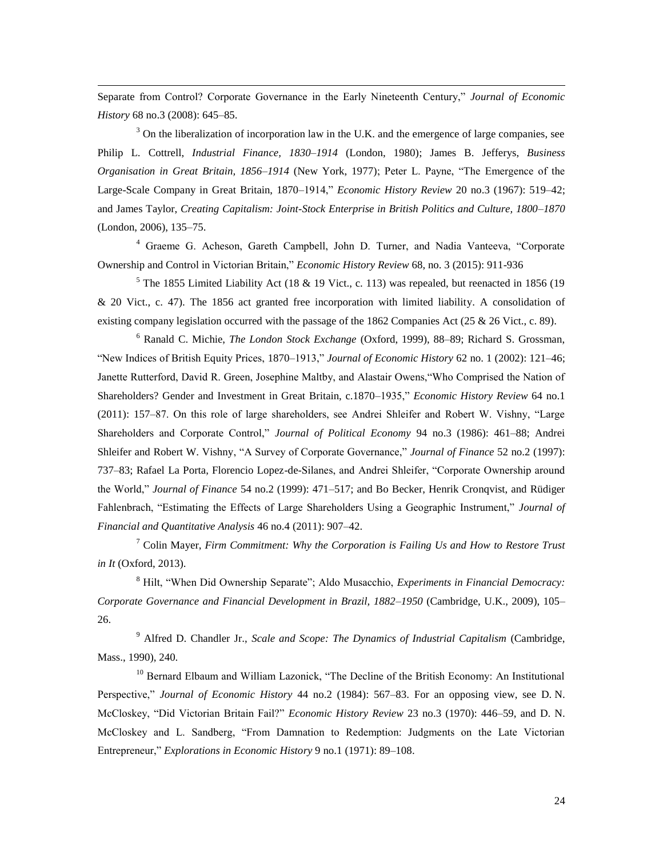Separate from Control? Corporate Governance in the Early Nineteenth Century," *Journal of Economic History* 68 no.3 (2008): 645–85.

 $\overline{a}$ 

<sup>3</sup> On the liberalization of incorporation law in the U.K. and the emergence of large companies, see Philip L. Cottrell, *Industrial Finance, 1830–1914* (London, 1980); James B. Jefferys, *Business Organisation in Great Britain, 1856–1914* (New York, 1977); Peter L. Payne, "The Emergence of the Large-Scale Company in Great Britain, 1870–1914," *Economic History Review* 20 no.3 (1967): 519–42; and James Taylor, *Creating Capitalism: Joint-Stock Enterprise in British Politics and Culture, 1800–1870* (London, 2006), 135–75.

<sup>4</sup> Graeme G. Acheson, Gareth Campbell, John D. Turner, and Nadia Vanteeva, "Corporate Ownership and Control in Victorian Britain," *Economic History Review* 68, no. 3 (2015): 911-936

 $5$  The 1855 Limited Liability Act (18 & 19 Vict., c. 113) was repealed, but reenacted in 1856 (19 & 20 Vict., c. 47). The 1856 act granted free incorporation with limited liability. A consolidation of existing company legislation occurred with the passage of the 1862 Companies Act (25  $\&$  26 Vict., c. 89).

<sup>6</sup> Ranald C. Michie, *The London Stock Exchange* (Oxford, 1999), 88–89; Richard S. Grossman, "New Indices of British Equity Prices, 1870–1913," *Journal of Economic History* 62 no. 1 (2002): 121–46; Janette Rutterford, David R. Green, Josephine Maltby, and Alastair Owens,"Who Comprised the Nation of Shareholders? Gender and Investment in Great Britain, c.1870–1935," *Economic History Review* 64 no.1 (2011): 157–87. On this role of large shareholders, see Andrei Shleifer and Robert W. Vishny, "Large Shareholders and Corporate Control," *Journal of Political Economy* 94 no.3 (1986): 461–88; Andrei Shleifer and Robert W. Vishny, "A Survey of Corporate Governance," *Journal of Finance* 52 no.2 (1997): 737–83; Rafael La Porta, Florencio Lopez-de-Silanes, and Andrei Shleifer, "Corporate Ownership around the World," *Journal of Finance* 54 no.2 (1999): 471–517; and Bo Becker, Henrik Cronqvist, and Rüdiger Fahlenbrach, "Estimating the Effects of Large Shareholders Using a Geographic Instrument," *Journal of Financial and Quantitative Analysis* 46 no.4 (2011): 907–42.

<sup>7</sup> Colin Mayer, *Firm Commitment: Why the Corporation is Failing Us and How to Restore Trust in It* (Oxford, 2013).

<sup>8</sup> Hilt, "When Did Ownership Separate"; Aldo Musacchio, *Experiments in Financial Democracy: Corporate Governance and Financial Development in Brazil, 1882–1950* (Cambridge, U.K., 2009), 105– 26.

<sup>9</sup> Alfred D. Chandler Jr., *Scale and Scope: The Dynamics of Industrial Capitalism* (Cambridge, Mass., 1990), 240.

<sup>10</sup> Bernard Elbaum and William Lazonick, "The Decline of the British Economy: An Institutional Perspective," *Journal of Economic History* 44 no.2 (1984): 567–83. For an opposing view, see D. N. McCloskey, "Did Victorian Britain Fail?" *Economic History Review* 23 no.3 (1970): 446–59, and D. N. McCloskey and L. Sandberg, "From Damnation to Redemption: Judgments on the Late Victorian Entrepreneur," *Explorations in Economic History* 9 no.1 (1971): 89–108.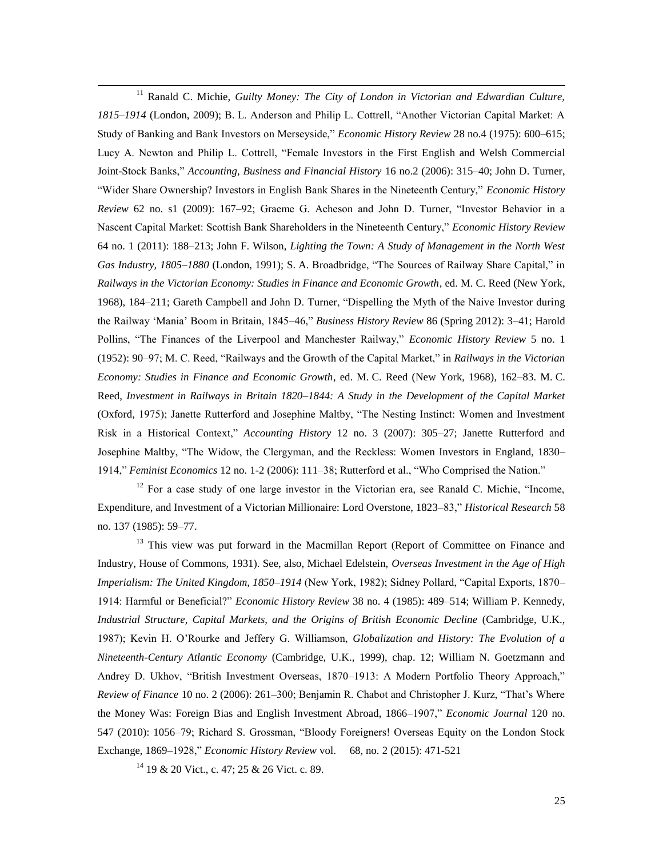$\overline{a}$ <sup>11</sup> Ranald C. Michie, *Guilty Money: The City of London in Victorian and Edwardian Culture, 1815–1914* (London, 2009); B. L. Anderson and Philip L. Cottrell, "Another Victorian Capital Market: A Study of Banking and Bank Investors on Merseyside," *Economic History Review* 28 no.4 (1975): 600–615; Lucy A. Newton and Philip L. Cottrell, "Female Investors in the First English and Welsh Commercial Joint-Stock Banks," *Accounting, Business and Financial History* 16 no.2 (2006): 315–40; John D. Turner, "Wider Share Ownership? Investors in English Bank Shares in the Nineteenth Century," *Economic History Review* 62 no. s1 (2009): 167–92; Graeme G. Acheson and John D. Turner, "Investor Behavior in a Nascent Capital Market: Scottish Bank Shareholders in the Nineteenth Century," *Economic History Review* 64 no. 1 (2011): 188–213; John F. Wilson, *[Lighting the Town: A Study of Management in the North West](http://www.amazon.co.uk/Lighting-Town-Management-Industry-1805-1880/dp/1853961760/ref=sr_1_1?ie=UTF8&qid=1410172315&sr=8-1&keywords=history+gas+industry+john+wilson)  [Gas Industry, 1805–1880](http://www.amazon.co.uk/Lighting-Town-Management-Industry-1805-1880/dp/1853961760/ref=sr_1_1?ie=UTF8&qid=1410172315&sr=8-1&keywords=history+gas+industry+john+wilson)* (London, 1991); S. A. Broadbridge, "The Sources of Railway Share Capital," in *Railways in the Victorian Economy: Studies in Finance and Economic Growth*, ed. M. C. Reed (New York, 1968), 184–211; Gareth Campbell and John D. Turner, "Dispelling the Myth of the Naive Investor during the Railway 'Mania' Boom in Britain, 1845–46," *Business History Review* 86 (Spring 2012): 3–41; Harold Pollins, "The Finances of the Liverpool and Manchester Railway," *Economic History Review* 5 no. 1 (1952): 90–97; M. C. Reed, "Railways and the Growth of the Capital Market," in *Railways in the Victorian Economy: Studies in Finance and Economic Growth*, ed. M. C. Reed (New York, 1968), 162–83. M. C. Reed, *Investment in Railways in Britain 1820–1844: A Study in the Development of the Capital Market* (Oxford, 1975); Janette Rutterford and Josephine Maltby, "The Nesting Instinct: Women and Investment Risk in a Historical Context," *Accounting History* 12 no. 3 (2007): 305–27; Janette Rutterford and Josephine Maltby, "The Widow, the Clergyman, and the Reckless: Women Investors in England, 1830– 1914," *Feminist Economics* 12 no. 1-2 (2006): 111–38; Rutterford et al., "Who Comprised the Nation."

 $12$  For a case study of one large investor in the Victorian era, see Ranald C. Michie, "Income, Expenditure, and Investment of a Victorian Millionaire: Lord Overstone, 1823–83," *Historical Research* 58 no. 137 (1985): 59–77.

<sup>13</sup> This view was put forward in the Macmillan Report (Report of Committee on Finance and Industry, House of Commons, 1931). See, also, Michael Edelstein, *Overseas Investment in the Age of High Imperialism: The United Kingdom, 1850–1914* (New York, 1982); Sidney Pollard, "Capital Exports, 1870– 1914: Harmful or Beneficial?" *Economic History Review* 38 no. 4 (1985): 489–514; William P. Kennedy, *Industrial Structure, Capital Markets, and the Origins of British Economic Decline* (Cambridge, U.K., 1987); Kevin H. O'Rourke and Jeffery G. Williamson, *Globalization and History: The Evolution of a Nineteenth-Century Atlantic Economy* (Cambridge, U.K., 1999), chap. 12; William N. Goetzmann and Andrey D. Ukhov, "British Investment Overseas, 1870–1913: A Modern Portfolio Theory Approach," *Review of Finance* 10 no. 2 (2006): 261–300; Benjamin R. Chabot and Christopher J. Kurz, "That's Where the Money Was: Foreign Bias and English Investment Abroad, 1866–1907," *Economic Journal* 120 no. 547 (2010): 1056–79; Richard S. Grossman, "Bloody Foreigners! Overseas Equity on the London Stock Exchange, 1869–1928," *Economic History Review* vol. 68, no. 2 (2015): 471-521

 $14$  19 & 20 Vict., c. 47; 25 & 26 Vict. c. 89.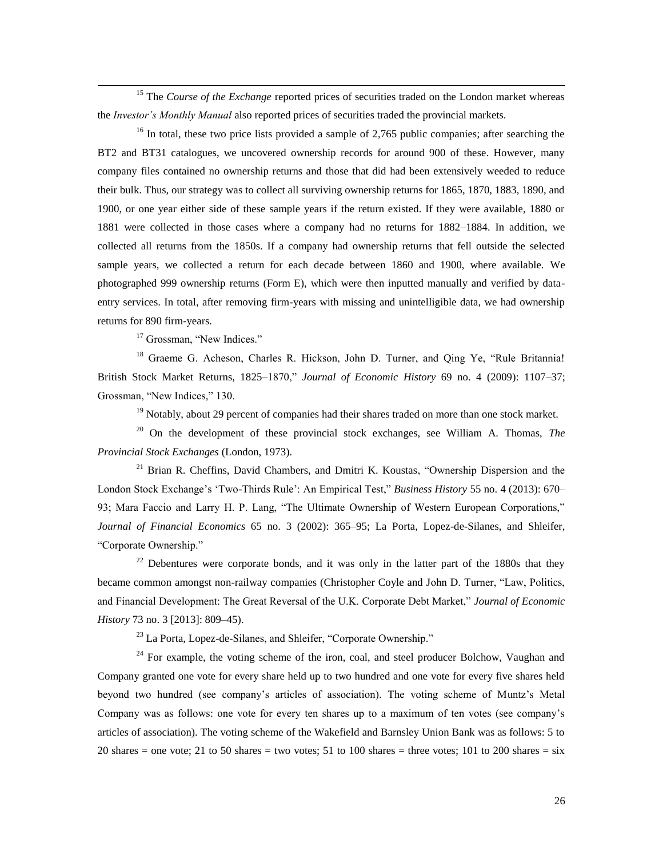<sup>15</sup> The *Course of the Exchange* reported prices of securities traded on the London market whereas the *Investor's Monthly Manual* also reported prices of securities traded the provincial markets.

 $16$  In total, these two price lists provided a sample of 2,765 public companies; after searching the BT2 and BT31 catalogues, we uncovered ownership records for around 900 of these. However, many company files contained no ownership returns and those that did had been extensively weeded to reduce their bulk. Thus, our strategy was to collect all surviving ownership returns for 1865, 1870, 1883, 1890, and 1900, or one year either side of these sample years if the return existed. If they were available, 1880 or 1881 were collected in those cases where a company had no returns for 1882–1884. In addition, we collected all returns from the 1850s. If a company had ownership returns that fell outside the selected sample years, we collected a return for each decade between 1860 and 1900, where available. We photographed 999 ownership returns (Form E), which were then inputted manually and verified by dataentry services. In total, after removing firm-years with missing and unintelligible data, we had ownership returns for 890 firm-years.

<sup>17</sup> Grossman, "New Indices."

 $\overline{a}$ 

<sup>18</sup> Graeme G. Acheson, Charles R. Hickson, John D. Turner, and Oing Ye, "Rule Britannia! British Stock Market Returns, 1825–1870," *Journal of Economic History* 69 no. 4 (2009): 1107–37; Grossman, "New Indices," 130.

 $19$  Notably, about 29 percent of companies had their shares traded on more than one stock market.

<sup>20</sup> On the development of these provincial stock exchanges, see William A. Thomas, *The Provincial Stock Exchanges* (London, 1973).

 $21$  Brian R. Cheffins, David Chambers, and Dmitri K. Koustas, "Ownership Dispersion and the London Stock Exchange's 'Two-Thirds Rule': An Empirical Test," *Business History* 55 no. 4 (2013): 670– 93; Mara Faccio and Larry H. P. Lang, "The Ultimate Ownership of Western European Corporations," *Journal of Financial Economics* 65 no. 3 (2002): 365–95; La Porta, Lopez-de-Silanes, and Shleifer, "Corporate Ownership."

 $22$  Debentures were corporate bonds, and it was only in the latter part of the 1880s that they became common amongst non-railway companies (Christopher Coyle and John D. Turner, "Law, Politics, and Financial Development: The Great Reversal of the U.K. Corporate Debt Market," *Journal of Economic History* 73 no. 3 [2013]: 809–45).

<sup>23</sup> La Porta, Lopez-de-Silanes, and Shleifer, "Corporate Ownership."

 $24$  For example, the voting scheme of the iron, coal, and steel producer Bolchow, Vaughan and Company granted one vote for every share held up to two hundred and one vote for every five shares held beyond two hundred (see company's articles of association). The voting scheme of Muntz's Metal Company was as follows: one vote for every ten shares up to a maximum of ten votes (see company's articles of association). The voting scheme of the Wakefield and Barnsley Union Bank was as follows: 5 to 20 shares = one vote; 21 to 50 shares = two votes; 51 to 100 shares = three votes; 101 to 200 shares = six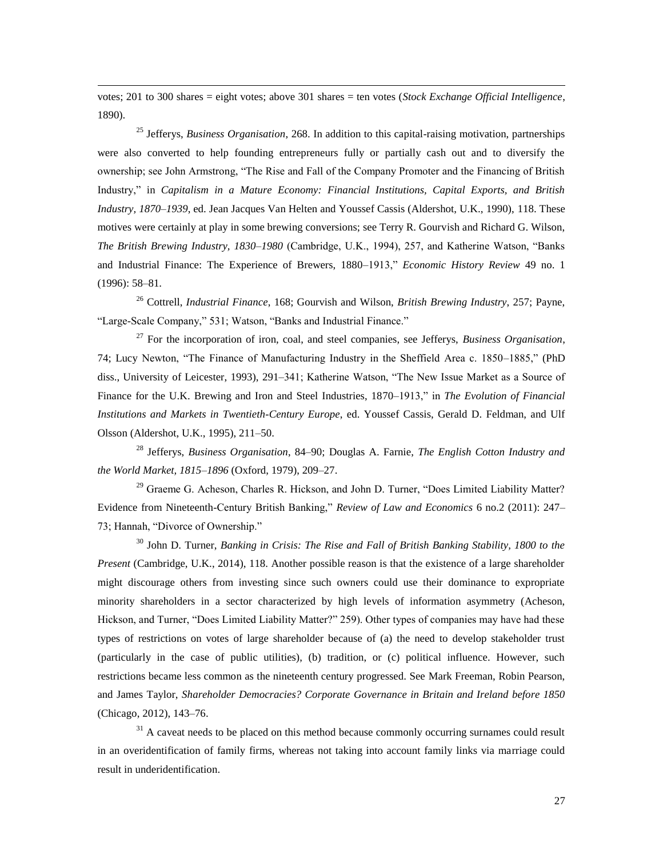votes; 201 to 300 shares = eight votes; above 301 shares = ten votes (*Stock Exchange Official Intelligence*, 1890).

 $\overline{a}$ 

<sup>25</sup> Jefferys, *Business Organisation*, 268. In addition to this capital-raising motivation, partnerships were also converted to help founding entrepreneurs fully or partially cash out and to diversify the ownership; see John Armstrong, "The Rise and Fall of the Company Promoter and the Financing of British Industry," in *Capitalism in a Mature Economy: Financial Institutions, Capital Exports, and British Industry, 1870–1939*, ed. Jean Jacques Van Helten and Youssef Cassis (Aldershot, U.K., 1990), 118. These motives were certainly at play in some brewing conversions; see Terry R. Gourvish and Richard G. Wilson, *The British Brewing Industry, 1830–1980* (Cambridge, U.K., 1994), 257, and Katherine Watson, "Banks and Industrial Finance: The Experience of Brewers, 1880–1913," *Economic History Review* 49 no. 1 (1996): 58–81.

<sup>26</sup> Cottrell, *Industrial Finance*, 168; Gourvish and Wilson, *British Brewing Industry*, 257; Payne, "Large-Scale Company," 531; Watson, "Banks and Industrial Finance."

<sup>27</sup> For the incorporation of iron, coal, and steel companies, see Jefferys, *Business Organisation*, 74; Lucy Newton, "The Finance of Manufacturing Industry in the Sheffield Area c. 1850–1885," (PhD diss., University of Leicester, 1993), 291–341; Katherine Watson, "The New Issue Market as a Source of Finance for the U.K. Brewing and Iron and Steel Industries, 1870–1913," in *The Evolution of Financial Institutions and Markets in Twentieth-Century Europe*, ed. Youssef Cassis, Gerald D. Feldman, and Ulf Olsson (Aldershot, U.K., 1995), 211–50.

<sup>28</sup> Jefferys, *Business Organisation*, 84–90; Douglas A. Farnie, *The English Cotton Industry and the World Market, 1815–1896* (Oxford, 1979), 209–27.

<sup>29</sup> Graeme G. Acheson, Charles R. Hickson, and John D. Turner, "Does Limited Liability Matter? Evidence from Nineteenth-Century British Banking," *Review of Law and Economics* 6 no.2 (2011): 247– 73; Hannah, "Divorce of Ownership."

<sup>30</sup> John D. Turner, *Banking in Crisis: The Rise and Fall of British Banking Stability, 1800 to the Present* (Cambridge, U.K., 2014), 118. Another possible reason is that the existence of a large shareholder might discourage others from investing since such owners could use their dominance to expropriate minority shareholders in a sector characterized by high levels of information asymmetry (Acheson, Hickson, and Turner, "Does Limited Liability Matter?" 259). Other types of companies may have had these types of restrictions on votes of large shareholder because of (a) the need to develop stakeholder trust (particularly in the case of public utilities), (b) tradition, or (c) political influence. However, such restrictions became less common as the nineteenth century progressed. See Mark Freeman, Robin Pearson, and James Taylor, *Shareholder Democracies? Corporate Governance in Britain and Ireland before 1850*  (Chicago, 2012), 143–76.

 $31$  A caveat needs to be placed on this method because commonly occurring surnames could result in an overidentification of family firms, whereas not taking into account family links via marriage could result in underidentification.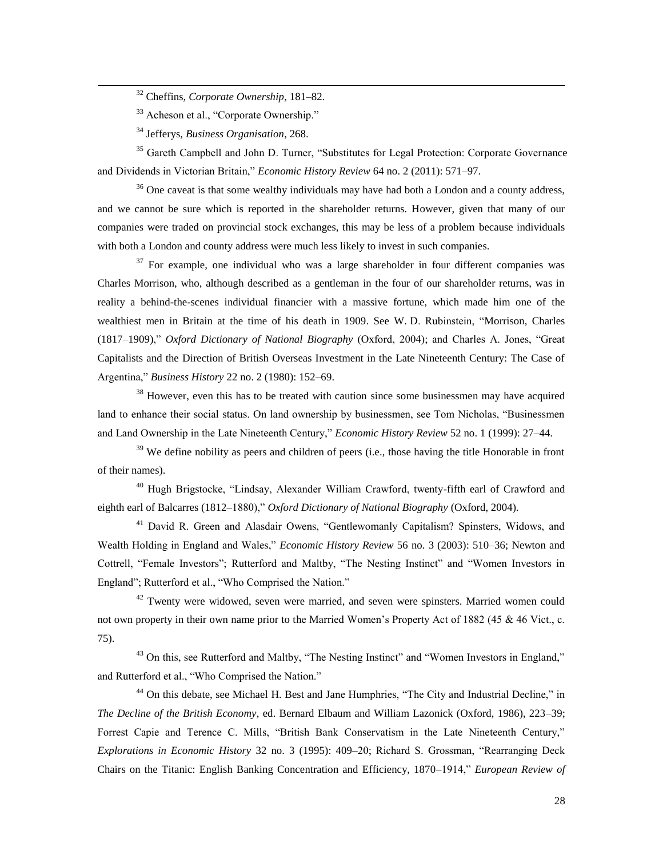- <sup>32</sup> Cheffins, *Corporate Ownership*, 181–82.
- <sup>33</sup> Acheson et al., "Corporate Ownership."
- <sup>34</sup> Jefferys, *Business Organisation*, 268.

 $\overline{a}$ 

<sup>35</sup> Gareth Campbell and John D. Turner, "Substitutes for Legal Protection: Corporate Governance and Dividends in Victorian Britain," *Economic History Review* 64 no. 2 (2011): 571–97.

<sup>36</sup> One caveat is that some wealthy individuals may have had both a London and a county address, and we cannot be sure which is reported in the shareholder returns. However, given that many of our companies were traded on provincial stock exchanges, this may be less of a problem because individuals with both a London and county address were much less likely to invest in such companies.

 $37$  For example, one individual who was a large shareholder in four different companies was Charles Morrison, who, although described as a gentleman in the four of our shareholder returns, was in reality a behind-the-scenes individual financier with a massive fortune, which made him one of the wealthiest men in Britain at the time of his death in 1909. See W. D. Rubinstein, "Morrison, Charles (1817–1909)," *Oxford Dictionary of National Biography* (Oxford, 2004); and Charles A. Jones, "Great Capitalists and the Direction of British Overseas Investment in the Late Nineteenth Century: The Case of Argentina," *Business History* 22 no. 2 (1980): 152–69.

 $38$  However, even this has to be treated with caution since some businessmen may have acquired land to enhance their social status. On land ownership by businessmen, see Tom Nicholas, "Businessmen and Land Ownership in the Late Nineteenth Century," *Economic History Review* 52 no. 1 (1999): 27–44.

 $39$  We define nobility as peers and children of peers (i.e., those having the title Honorable in front of their names).

<sup>40</sup> Hugh Brigstocke, "Lindsay, Alexander William Crawford, twenty-fifth earl of Crawford and eighth earl of Balcarres (1812–1880)," *Oxford Dictionary of National Biography* (Oxford, 2004).

<sup>41</sup> David R. Green and Alasdair Owens, "Gentlewomanly Capitalism? Spinsters, Widows, and Wealth Holding in England and Wales," *Economic History Review* 56 no. 3 (2003): 510–36; Newton and Cottrell, "Female Investors"; Rutterford and Maltby, "The Nesting Instinct" and "Women Investors in England"; Rutterford et al., "Who Comprised the Nation."

 $42$  Twenty were widowed, seven were married, and seven were spinsters. Married women could not own property in their own name prior to the Married Women's Property Act of 1882 (45 & 46 Vict., c. 75).

<sup>43</sup> On this, see Rutterford and Maltby, "The Nesting Instinct" and "Women Investors in England," and Rutterford et al., "Who Comprised the Nation."

<sup>44</sup> On this debate, see Michael H. Best and Jane Humphries, "The City and Industrial Decline," in *The Decline of the British Economy*, ed. Bernard Elbaum and William Lazonick (Oxford, 1986), 223–39; Forrest Capie and Terence C. Mills, "British Bank Conservatism in the Late Nineteenth Century," *Explorations in Economic History* 32 no. 3 (1995): 409–20; Richard S. Grossman, "Rearranging Deck Chairs on the Titanic: English Banking Concentration and Efficiency, 1870–1914," *European Review of*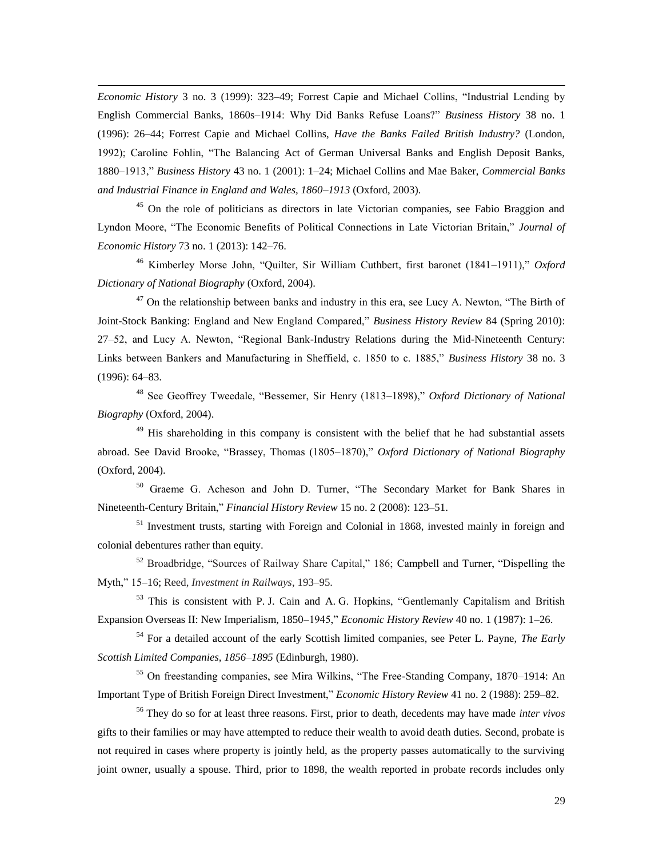*Economic History* 3 no. 3 (1999): 323–49; Forrest Capie and Michael Collins, "Industrial Lending by English Commercial Banks, 1860s–1914: Why Did Banks Refuse Loans?" *Business History* 38 no. 1 (1996): 26–44; Forrest Capie and Michael Collins, *Have the Banks Failed British Industry?* (London, 1992); Caroline Fohlin, "The Balancing Act of German Universal Banks and English Deposit Banks, 1880–1913," *Business History* 43 no. 1 (2001): 1–24; Michael Collins and Mae Baker, *Commercial Banks and Industrial Finance in England and Wales, 1860–1913* (Oxford, 2003).

 $\overline{a}$ 

<sup>45</sup> On the role of politicians as directors in late Victorian companies, see Fabio Braggion and Lyndon Moore, "The Economic Benefits of Political Connections in Late Victorian Britain," *Journal of Economic History* 73 no. 1 (2013): 142–76.

<sup>46</sup> Kimberley Morse John, "Quilter, Sir William Cuthbert, first baronet (1841–1911)," *Oxford Dictionary of National Biography* (Oxford, 2004).

 $47$  On the relationship between banks and industry in this era, see Lucy A. Newton, "The Birth of Joint-Stock Banking: England and New England Compared," *Business History Review* 84 (Spring 2010): 27–52, and Lucy A. Newton, "Regional Bank-Industry Relations during the Mid-Nineteenth Century: Links between Bankers and Manufacturing in Sheffield, c. 1850 to c. 1885," *Business History* 38 no. 3 (1996): 64–83.

<sup>48</sup> See Geoffrey Tweedale, "Bessemer, Sir Henry (1813–1898)," *Oxford Dictionary of National Biography* (Oxford, 2004).

 $49$  His shareholding in this company is consistent with the belief that he had substantial assets abroad. See David Brooke, "Brassey, Thomas (1805–1870)," *Oxford Dictionary of National Biography* (Oxford, 2004).

<sup>50</sup> Graeme G. Acheson and John D. Turner, "The Secondary Market for Bank Shares in Nineteenth-Century Britain," *Financial History Review* 15 no. 2 (2008): 123–51.

<sup>51</sup> Investment trusts, starting with Foreign and Colonial in 1868, invested mainly in foreign and colonial debentures rather than equity.

<sup>52</sup> Broadbridge, "Sources of Railway Share Capital," 186; Campbell and Turner, "Dispelling the Myth," 15–16; Reed, *Investment in Railways*, 193–95.

<sup>53</sup> This is consistent with P. J. Cain and A. G. Hopkins, "Gentlemanly Capitalism and British Expansion Overseas II: New Imperialism, 1850–1945," *Economic History Review* 40 no. 1 (1987): 1–26.

<sup>54</sup> For a detailed account of the early Scottish limited companies, see Peter L. Payne, *The Early Scottish Limited Companies, 1856–1895* (Edinburgh, 1980).

<sup>55</sup> On freestanding companies, see Mira Wilkins, "The Free-Standing Company, 1870–1914: An Important Type of British Foreign Direct Investment," *Economic History Review* 41 no. 2 (1988): 259–82.

<sup>56</sup> They do so for at least three reasons. First, prior to death, decedents may have made *inter vivos* gifts to their families or may have attempted to reduce their wealth to avoid death duties. Second, probate is not required in cases where property is jointly held, as the property passes automatically to the surviving joint owner, usually a spouse. Third, prior to 1898, the wealth reported in probate records includes only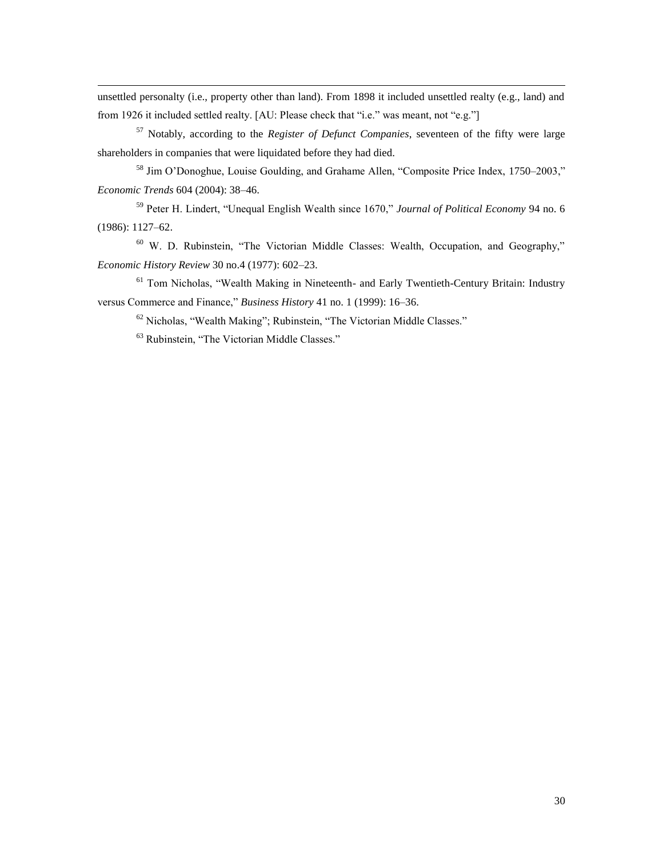unsettled personalty (i.e., property other than land). From 1898 it included unsettled realty (e.g., land) and from 1926 it included settled realty. [AU: Please check that "i.e." was meant, not "e.g."]

<sup>57</sup> Notably, according to the *Register of Defunct Companies*, seventeen of the fifty were large shareholders in companies that were liquidated before they had died.

<sup>58</sup> Jim O'Donoghue, Louise Goulding, and Grahame Allen, "Composite Price Index, 1750–2003," *Economic Trends* 604 (2004): 38–46.

<sup>59</sup> Peter H. Lindert, "Unequal English Wealth since 1670," *Journal of Political Economy* 94 no. 6 (1986): 1127–62.

<sup>60</sup> W. D. Rubinstein, "The Victorian Middle Classes: Wealth, Occupation, and Geography," *Economic History Review* 30 no.4 (1977): 602–23.

<sup>61</sup> Tom Nicholas, "Wealth Making in Nineteenth- and Early Twentieth-Century Britain: Industry versus Commerce and Finance," *Business History* 41 no. 1 (1999): 16–36.

<sup>62</sup> Nicholas, "Wealth Making"; Rubinstein, "The Victorian Middle Classes."

<sup>63</sup> Rubinstein, "The Victorian Middle Classes."

 $\overline{a}$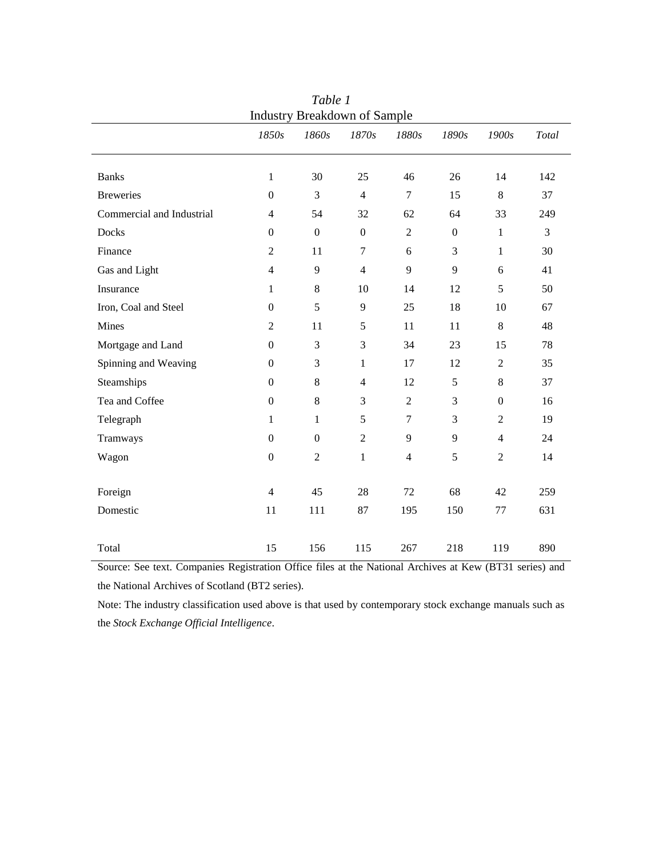| <b>Industry Breakdown of Sample</b> |                  |                  |                  |                |                  |                |       |  |
|-------------------------------------|------------------|------------------|------------------|----------------|------------------|----------------|-------|--|
|                                     | 1850s            | 1860s            | 1870s            | 1880s          | 1890s            | 1900s          | Total |  |
|                                     |                  |                  |                  |                |                  |                |       |  |
| <b>Banks</b>                        | $\mathbf{1}$     | 30               | 25               | 46             | 26               | 14             | 142   |  |
| <b>Breweries</b>                    | $\Omega$         | 3                | $\overline{4}$   | $\tau$         | 15               | 8              | 37    |  |
| Commercial and Industrial           | $\overline{4}$   | 54               | 32               | 62             | 64               | 33             | 249   |  |
| Docks                               | $\boldsymbol{0}$ | $\boldsymbol{0}$ | $\boldsymbol{0}$ | $\overline{2}$ | $\boldsymbol{0}$ | $\mathbf{1}$   | 3     |  |
| Finance                             | $\overline{2}$   | 11               | $\boldsymbol{7}$ | 6              | 3                | $\mathbf{1}$   | 30    |  |
| Gas and Light                       | $\overline{4}$   | 9                | $\overline{4}$   | 9              | 9                | 6              | 41    |  |
| Insurance                           | $\mathbf{1}$     | $\,8\,$          | 10               | 14             | 12               | 5              | 50    |  |
| Iron, Coal and Steel                | $\boldsymbol{0}$ | 5                | $\mathbf{9}$     | 25             | 18               | 10             | 67    |  |
| Mines                               | $\sqrt{2}$       | 11               | $\mathfrak s$    | 11             | 11               | $8\,$          | 48    |  |
| Mortgage and Land                   | $\boldsymbol{0}$ | 3                | $\mathfrak{Z}$   | 34             | 23               | 15             | 78    |  |
| Spinning and Weaving                | $\boldsymbol{0}$ | 3                | $\mathbf{1}$     | 17             | 12               | $\sqrt{2}$     | 35    |  |
| Steamships                          | $\overline{0}$   | $8\,$            | $\overline{4}$   | 12             | 5                | $8\,$          | 37    |  |
| Tea and Coffee                      | $\overline{0}$   | 8                | 3                | 2              | 3                | $\overline{0}$ | 16    |  |
| Telegraph                           | $\mathbf{1}$     | $\mathbf{1}$     | 5                | $\tau$         | 3                | $\overline{2}$ | 19    |  |
| Tramways                            | $\overline{0}$   | $\overline{0}$   | $\sqrt{2}$       | 9              | 9                | $\overline{4}$ | 24    |  |
| Wagon                               | $\boldsymbol{0}$ | $\overline{2}$   | $\mathbf{1}$     | $\overline{4}$ | 5                | $\sqrt{2}$     | 14    |  |
|                                     |                  |                  |                  |                |                  |                |       |  |
| Foreign                             | $\overline{4}$   | 45               | $28\,$           | 72             | 68               | 42             | 259   |  |
| Domestic                            | $11\,$           | 111              | 87               | 195            | 150              | $77\,$         | 631   |  |
|                                     |                  |                  |                  |                |                  |                |       |  |
| Total                               | 15               | 156              | 115              | 267            | 218              | 119            | 890   |  |

*Table 1*

Source: See text. Companies Registration Office files at the National Archives at Kew (BT31 series) and the National Archives of Scotland (BT2 series).

Note: The industry classification used above is that used by contemporary stock exchange manuals such as the *Stock Exchange Official Intelligence*.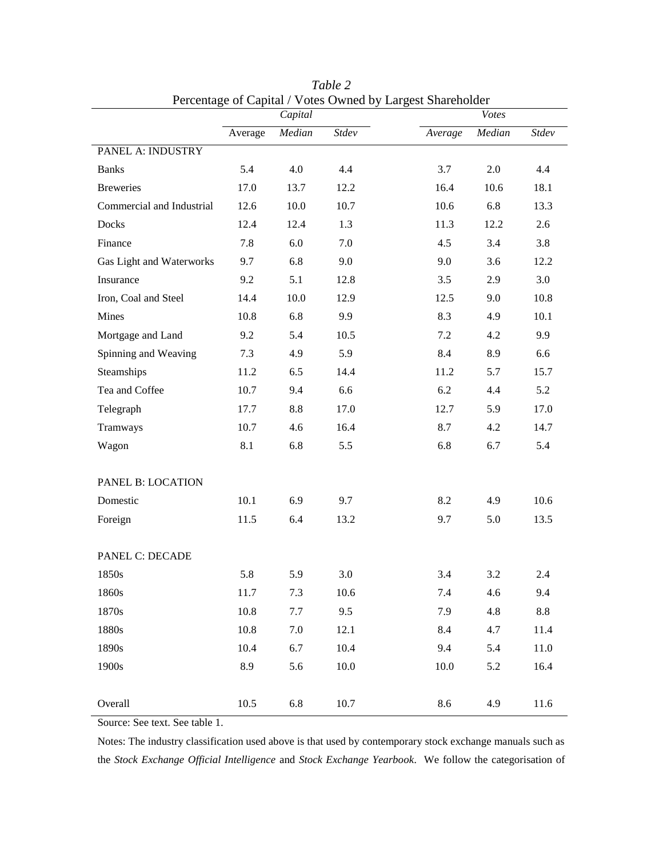|                           | Percentage of Capital / Votes Owned by Largest Shareholder<br>Capital |         |          | <b>V</b> otes              |  |
|---------------------------|-----------------------------------------------------------------------|---------|----------|----------------------------|--|
|                           | Average                                                               | Median  | Stdev    | Median<br>Stdev<br>Average |  |
| PANEL A: INDUSTRY         |                                                                       |         |          |                            |  |
| <b>Banks</b>              | 5.4                                                                   | 4.0     | 4.4      | 2.0<br>3.7<br>4.4          |  |
| <b>Breweries</b>          | 17.0                                                                  | 13.7    | 12.2     | 16.4<br>10.6<br>18.1       |  |
| Commercial and Industrial | 12.6                                                                  | 10.0    | 10.7     | 10.6<br>6.8<br>13.3        |  |
| Docks                     | 12.4                                                                  | 12.4    | 1.3      | 11.3<br>12.2<br>2.6        |  |
| Finance                   | 7.8                                                                   | 6.0     | 7.0      | 4.5<br>3.4<br>3.8          |  |
| Gas Light and Waterworks  | 9.7                                                                   | 6.8     | 9.0      | 9.0<br>3.6<br>12.2         |  |
| Insurance                 | 9.2                                                                   | 5.1     | 12.8     | 3.5<br>2.9<br>3.0          |  |
| Iron, Coal and Steel      | 14.4                                                                  | 10.0    | 12.9     | 12.5<br>9.0<br>10.8        |  |
| Mines                     | 10.8                                                                  | 6.8     | 9.9      | 8.3<br>4.9<br>10.1         |  |
| Mortgage and Land         | 9.2                                                                   | 5.4     | 10.5     | 7.2<br>4.2<br>9.9          |  |
| Spinning and Weaving      | 7.3                                                                   | 4.9     | 5.9      | 8.4<br>8.9<br>6.6          |  |
| Steamships                | 11.2                                                                  | 6.5     | 14.4     | 11.2<br>5.7<br>15.7        |  |
| Tea and Coffee            | 10.7                                                                  | 9.4     | 6.6      | 5.2<br>6.2<br>4.4          |  |
| Telegraph                 | 17.7                                                                  | 8.8     | 17.0     | 12.7<br>5.9<br>17.0        |  |
| Tramways                  | 10.7                                                                  | 4.6     | 16.4     | 8.7<br>4.2<br>14.7         |  |
| Wagon                     | 8.1                                                                   | 6.8     | 5.5      | 6.8<br>6.7<br>5.4          |  |
|                           |                                                                       |         |          |                            |  |
| PANEL B: LOCATION         |                                                                       |         |          |                            |  |
| Domestic                  | 10.1                                                                  | 6.9     | 9.7      | 8.2<br>4.9<br>10.6         |  |
| Foreign                   | 11.5                                                                  | 6.4     | 13.2     | 5.0<br>13.5<br>9.7         |  |
| PANEL C: DECADE           |                                                                       |         |          |                            |  |
| 1850s                     | 5.8                                                                   | 5.9     | 3.0      | 3.4<br>3.2<br>2.4          |  |
| 1860s                     | 11.7                                                                  | 7.3     | $10.6\,$ | 7.4<br>4.6<br>9.4          |  |
| 1870s                     | 10.8                                                                  | $7.7\,$ | 9.5      | 7.9<br>4.8<br>8.8          |  |
| 1880s                     | 10.8                                                                  | 7.0     | 12.1     | 8.4<br>4.7<br>11.4         |  |
| 1890s                     | 10.4                                                                  | 6.7     | 10.4     | 9.4<br>5.4<br>11.0         |  |
| 1900s                     | 8.9                                                                   | 5.6     | $10.0\,$ | 10.0<br>5.2<br>16.4        |  |
|                           |                                                                       |         |          |                            |  |
| Overall                   | 10.5                                                                  | 6.8     | 10.7     | 8.6<br>4.9<br>11.6         |  |

*Table 2* Percentage of Capital / Votes Owned by Largest Shareholder

Source: See text. See table 1.

Notes: The industry classification used above is that used by contemporary stock exchange manuals such as the *Stock Exchange Official Intelligence* and *Stock Exchange Yearbook*. We follow the categorisation of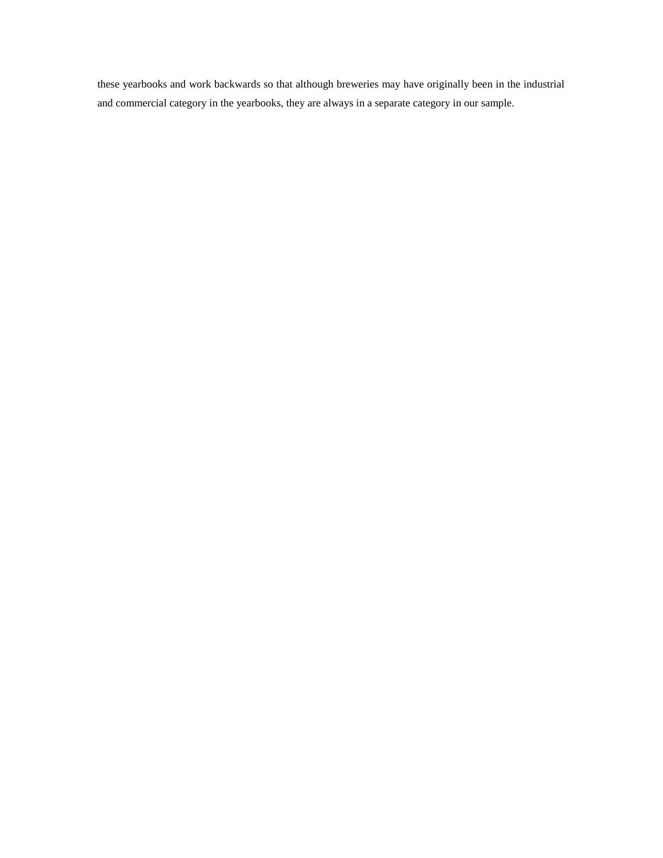these yearbooks and work backwards so that although breweries may have originally been in the industrial and commercial category in the yearbooks, they are always in a separate category in our sample.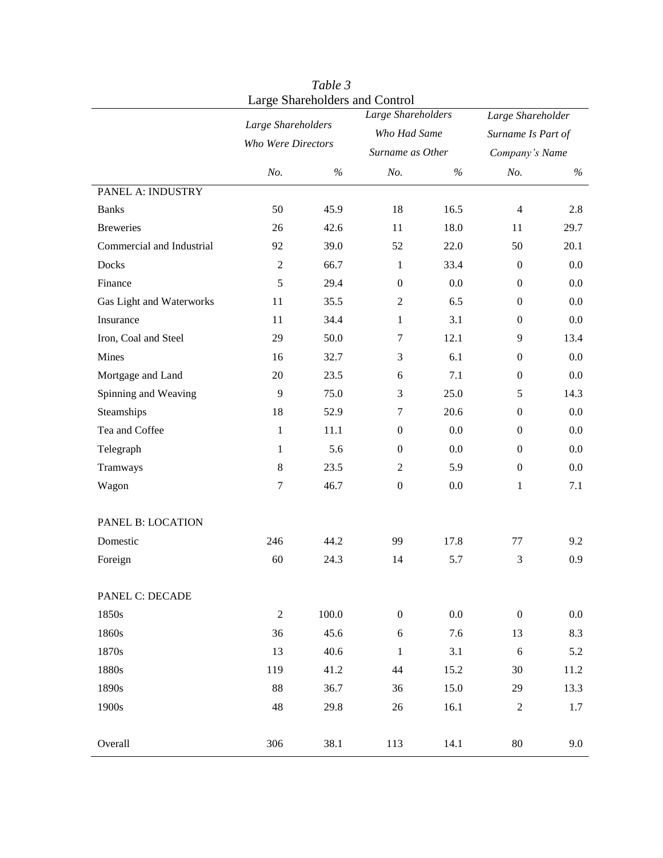|                           |                  |                                          | Large Shareholders and Control<br>Large Shareholders |                  | Large Shareholder  |                |
|---------------------------|------------------|------------------------------------------|------------------------------------------------------|------------------|--------------------|----------------|
|                           |                  | Large Shareholders<br>Who Were Directors |                                                      | Who Had Same     |                    |                |
|                           |                  |                                          |                                                      |                  | Surname Is Part of |                |
|                           |                  |                                          |                                                      | Surname as Other |                    | Company's Name |
|                           | No.              | $\%$                                     | No.                                                  | $\%$             | No.                | $\%$           |
| PANEL A: INDUSTRY         |                  |                                          |                                                      |                  |                    |                |
| <b>Banks</b>              | 50               | 45.9                                     | 18                                                   | 16.5             | $\overline{4}$     | 2.8            |
| <b>Breweries</b>          | 26               | 42.6                                     | 11                                                   | 18.0             | 11                 | 29.7           |
| Commercial and Industrial | 92               | 39.0                                     | 52                                                   | 22.0             | 50                 | 20.1           |
| Docks                     | $\sqrt{2}$       | 66.7                                     | $\mathbf{1}$                                         | 33.4             | $\overline{0}$     | 0.0            |
| Finance                   | 5                | 29.4                                     | $\boldsymbol{0}$                                     | 0.0              | $\overline{0}$     | 0.0            |
| Gas Light and Waterworks  | 11               | 35.5                                     | $\overline{2}$                                       | 6.5              | $\overline{0}$     | 0.0            |
| Insurance                 | 11               | 34.4                                     | $\mathbf{1}$                                         | 3.1              | $\overline{0}$     | 0.0            |
| Iron, Coal and Steel      | 29               | 50.0                                     | $\tau$                                               | 12.1             | 9                  | 13.4           |
| Mines                     | 16               | 32.7                                     | 3                                                    | 6.1              | $\overline{0}$     | 0.0            |
| Mortgage and Land         | 20               | 23.5                                     | 6                                                    | 7.1              | $\overline{0}$     | 0.0            |
| Spinning and Weaving      | 9                | 75.0                                     | 3                                                    | 25.0             | 5                  | 14.3           |
| Steamships                | 18               | 52.9                                     | $\tau$                                               | 20.6             | $\overline{0}$     | 0.0            |
| Tea and Coffee            | $\mathbf{1}$     | 11.1                                     | $\overline{0}$                                       | 0.0              | $\overline{0}$     | 0.0            |
| Telegraph                 | 1                | 5.6                                      | $\overline{0}$                                       | 0.0              | $\overline{0}$     | 0.0            |
| Tramways                  | $\,8\,$          | 23.5                                     | $\overline{2}$                                       | 5.9              | $\overline{0}$     | 0.0            |
| Wagon                     | $\boldsymbol{7}$ | 46.7                                     | $\boldsymbol{0}$                                     | 0.0              | $\mathbf{1}$       | 7.1            |
| PANEL B: LOCATION         |                  |                                          |                                                      |                  |                    |                |
| Domestic                  | 246              | 44.2                                     | 99                                                   | 17.8             | 77                 | 9.2            |
| Foreign                   | 60               | 24.3                                     | 14                                                   | 5.7              | 3                  | 0.9            |
| PANEL C: DECADE           |                  |                                          |                                                      |                  |                    |                |
| 1850s                     | $\overline{2}$   | 100.0                                    | $\boldsymbol{0}$                                     | $0.0\,$          | $\boldsymbol{0}$   | $0.0\,$        |
| 1860s                     | 36               | 45.6                                     | $6\,$                                                | 7.6              | 13                 | 8.3            |
| 1870s                     | 13               | 40.6                                     | $\mathbf{1}$                                         | 3.1              | $\sqrt{6}$         | 5.2            |
| 1880s                     | 119              | 41.2                                     | $44$                                                 | 15.2             | 30                 | 11.2           |
| 1890s                     | 88               | 36.7                                     | 36                                                   | 15.0             | 29                 | 13.3           |
|                           |                  |                                          |                                                      |                  |                    |                |
| 1900s                     | 48               | 29.8                                     | 26                                                   | 16.1             | $\boldsymbol{2}$   | 1.7            |

*Table 3*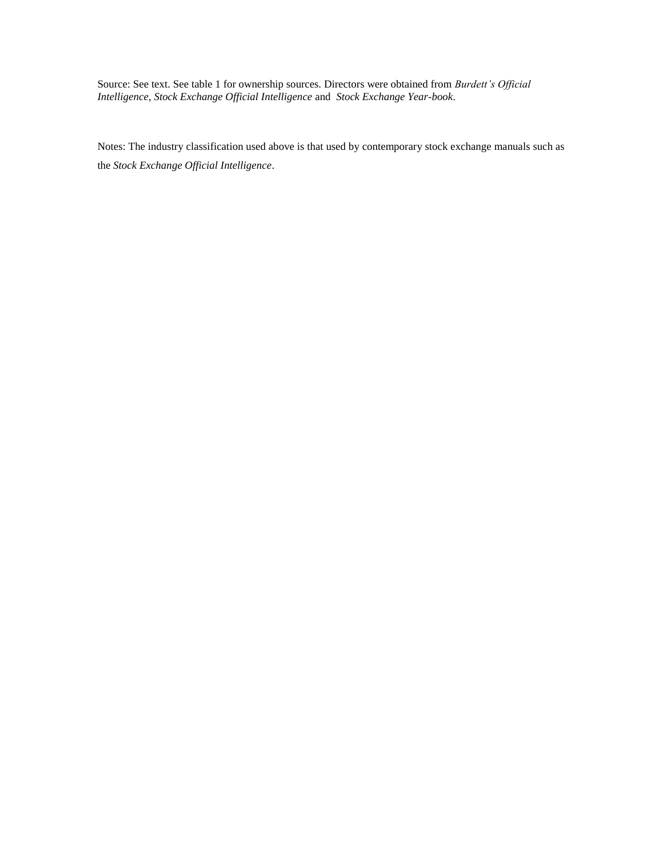Source: See text. See table 1 for ownership sources. Directors were obtained from *Burdett's Official Intelligence*, *Stock Exchange Official Intelligence* and *Stock Exchange Year-book*.

Notes: The industry classification used above is that used by contemporary stock exchange manuals such as the *Stock Exchange Official Intelligence*.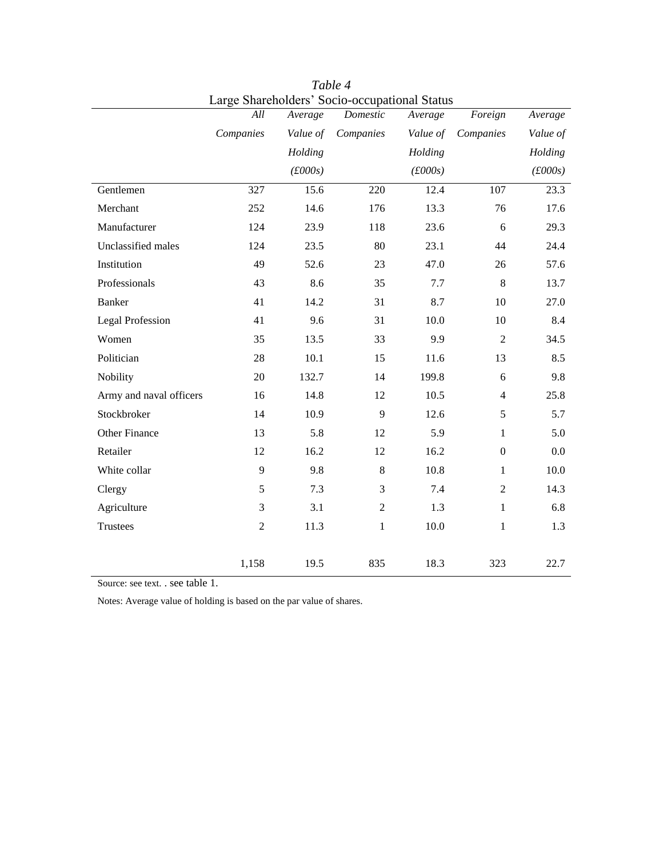|                         | All            | Average  | onarchoracio pocio occupational planas<br>Domestic | Average  | Foreign          | Average                |
|-------------------------|----------------|----------|----------------------------------------------------|----------|------------------|------------------------|
|                         | Companies      | Value of | Companies                                          | Value of | Companies        | Value of               |
|                         |                | Holding  |                                                    | Holding  |                  | Holding                |
|                         |                | f(600s)  |                                                    | f(600s)  |                  | $(\text{\pounds}000s)$ |
| Gentlemen               | 327            | 15.6     | $\overline{220}$                                   | 12.4     | $\overline{107}$ | $\overline{23.3}$      |
| Merchant                | 252            | 14.6     | 176                                                | 13.3     | 76               | 17.6                   |
| Manufacturer            | 124            | 23.9     | 118                                                | 23.6     | 6                | 29.3                   |
| Unclassified males      | 124            | 23.5     | 80                                                 | 23.1     | 44               | 24.4                   |
| Institution             | 49             | 52.6     | 23                                                 | 47.0     | 26               | 57.6                   |
| Professionals           | 43             | 8.6      | 35                                                 | 7.7      | 8                | 13.7                   |
| Banker                  | 41             | 14.2     | 31                                                 | 8.7      | $10\,$           | 27.0                   |
| <b>Legal Profession</b> | 41             | 9.6      | 31                                                 | 10.0     | $10\,$           | 8.4                    |
| Women                   | 35             | 13.5     | 33                                                 | 9.9      | $\mathfrak{2}$   | 34.5                   |
| Politician              | 28             | 10.1     | 15                                                 | 11.6     | 13               | 8.5                    |
| Nobility                | 20             | 132.7    | 14                                                 | 199.8    | 6                | 9.8                    |
| Army and naval officers | 16             | 14.8     | 12                                                 | 10.5     | $\overline{4}$   | 25.8                   |
| Stockbroker             | 14             | 10.9     | 9                                                  | 12.6     | 5                | 5.7                    |
| Other Finance           | 13             | 5.8      | 12                                                 | 5.9      | $\mathbf{1}$     | 5.0                    |
| Retailer                | 12             | 16.2     | 12                                                 | 16.2     | $\boldsymbol{0}$ | 0.0                    |
| White collar            | 9              | 9.8      | 8                                                  | 10.8     | $\mathbf{1}$     | 10.0                   |
| Clergy                  | 5              | 7.3      | 3                                                  | 7.4      | $\overline{2}$   | 14.3                   |
| Agriculture             | $\mathfrak{Z}$ | 3.1      | $\overline{2}$                                     | 1.3      | $\,1$            | 6.8                    |
| Trustees                | $\sqrt{2}$     | 11.3     | $\mathbf{1}$                                       | $10.0\,$ | $\mathbf{1}$     | 1.3                    |
|                         |                |          |                                                    |          |                  |                        |
|                         | 1,158          | 19.5     | 835                                                | 18.3     | 323              | 22.7                   |

*Table 4* Large Shareholders' Socio-occupational Status

Source: see text. . see table 1.

Notes: Average value of holding is based on the par value of shares.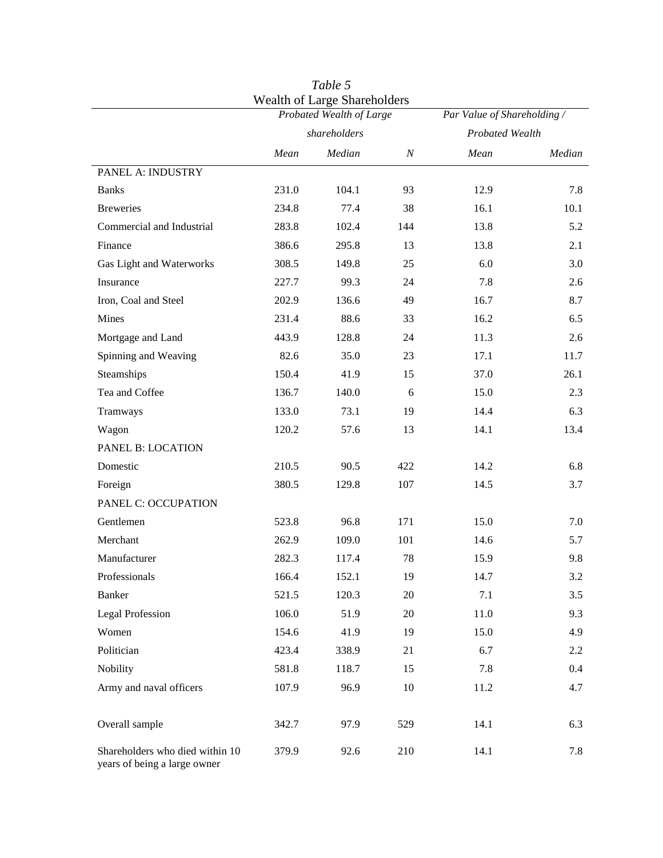|                                                                 |              | <b>Wealth of Large Shareholders</b><br>Probated Wealth of Large | Par Value of Shareholding / |                 |         |  |
|-----------------------------------------------------------------|--------------|-----------------------------------------------------------------|-----------------------------|-----------------|---------|--|
|                                                                 | shareholders |                                                                 |                             | Probated Wealth |         |  |
|                                                                 | Mean         | Median                                                          | $\cal N$                    | Mean            | Median  |  |
| PANEL A: INDUSTRY                                               |              |                                                                 |                             |                 |         |  |
| <b>Banks</b>                                                    | 231.0        | 104.1                                                           | 93                          | 12.9            | 7.8     |  |
| <b>Breweries</b>                                                | 234.8        | 77.4                                                            | 38                          | 16.1            | 10.1    |  |
| Commercial and Industrial                                       | 283.8        | 102.4                                                           | 144                         | 13.8            | 5.2     |  |
| Finance                                                         | 386.6        | 295.8                                                           | 13                          | 13.8            | 2.1     |  |
| Gas Light and Waterworks                                        | 308.5        | 149.8                                                           | 25                          | 6.0             | 3.0     |  |
| Insurance                                                       | 227.7        | 99.3                                                            | 24                          | 7.8             | 2.6     |  |
| Iron, Coal and Steel                                            | 202.9        | 136.6                                                           | 49                          | 16.7            | 8.7     |  |
| Mines                                                           | 231.4        | 88.6                                                            | 33                          | 16.2            | 6.5     |  |
| Mortgage and Land                                               | 443.9        | 128.8                                                           | 24                          | 11.3            | 2.6     |  |
| Spinning and Weaving                                            | 82.6         | 35.0                                                            | 23                          | 17.1            | 11.7    |  |
| Steamships                                                      | 150.4        | 41.9                                                            | 15                          | 37.0            | 26.1    |  |
| Tea and Coffee                                                  | 136.7        | 140.0                                                           | 6                           | 15.0            | 2.3     |  |
| Tramways                                                        | 133.0        | 73.1                                                            | 19                          | 14.4            | 6.3     |  |
| Wagon                                                           | 120.2        | 57.6                                                            | 13                          | 14.1            | 13.4    |  |
| PANEL B: LOCATION                                               |              |                                                                 |                             |                 |         |  |
| Domestic                                                        | 210.5        | 90.5                                                            | 422                         | 14.2            | 6.8     |  |
| Foreign                                                         | 380.5        | 129.8                                                           | 107                         | 14.5            | 3.7     |  |
| PANEL C: OCCUPATION                                             |              |                                                                 |                             |                 |         |  |
| Gentlemen                                                       | 523.8        | 96.8                                                            | 171                         | 15.0            | 7.0     |  |
| Merchant                                                        | 262.9        | 109.0                                                           | 101                         | 14.6            | 5.7     |  |
| Manufacturer                                                    | 282.3        | 117.4                                                           | 78                          | 15.9            | 9.8     |  |
| Professionals                                                   | 166.4        | 152.1                                                           | 19                          | 14.7            | $3.2\,$ |  |
| Banker                                                          | 521.5        | 120.3                                                           | $20\,$                      | 7.1             | 3.5     |  |
| <b>Legal Profession</b>                                         | 106.0        | 51.9                                                            | 20                          | 11.0            | 9.3     |  |
| Women                                                           | 154.6        | 41.9                                                            | 19                          | 15.0            | 4.9     |  |
| Politician                                                      | 423.4        | 338.9                                                           | 21                          | 6.7             | 2.2     |  |
| Nobility                                                        | 581.8        | 118.7                                                           | 15                          | 7.8             | $0.4\,$ |  |
| Army and naval officers                                         | 107.9        | 96.9                                                            | 10                          | 11.2            | 4.7     |  |
| Overall sample                                                  | 342.7        | 97.9                                                            | 529                         | 14.1            | 6.3     |  |
| Shareholders who died within 10<br>years of being a large owner | 379.9        | 92.6                                                            | 210                         | 14.1            | 7.8     |  |

*Table 5*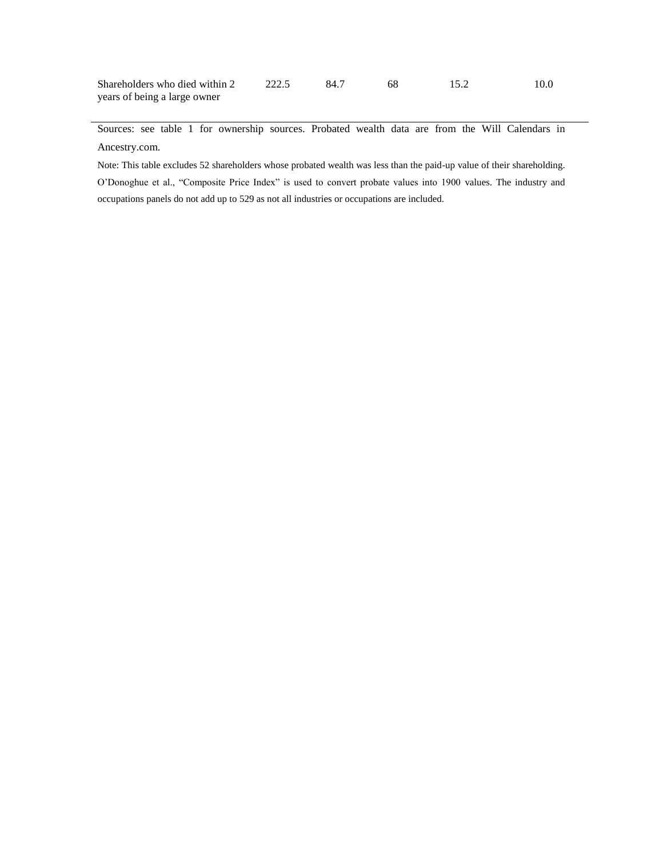| Shareholders who died within 2 | .84 |  | 10.0 |
|--------------------------------|-----|--|------|
| years of being a large owner   |     |  |      |

Sources: see table 1 for ownership sources. Probated wealth data are from the Will Calendars in Ancestry.com.

Note: This table excludes 52 shareholders whose probated wealth was less than the paid-up value of their shareholding. O'Donoghue et al., "Composite Price Index" is used to convert probate values into 1900 values. The industry and occupations panels do not add up to 529 as not all industries or occupations are included.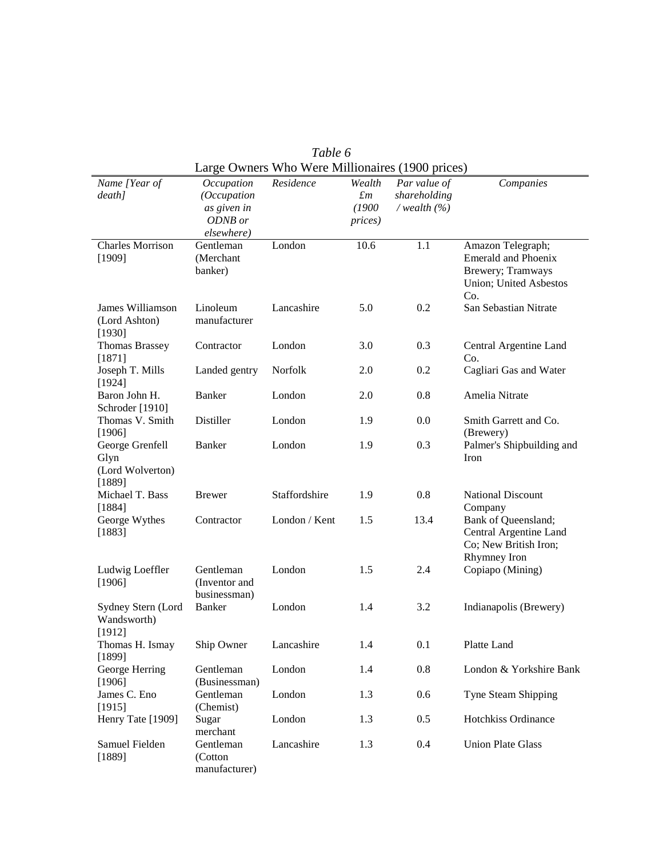| Name [Year of             | Occupation        | Residence     | Wealth          | Par value of   | Companies                        |
|---------------------------|-------------------|---------------|-----------------|----------------|----------------------------------|
| $death$ ]                 | (Occupation       |               | $\pounds$ m     | shareholding   |                                  |
|                           | as given in       |               | (1900)          | /wealth $(\%)$ |                                  |
|                           | ODNB or           |               | <i>prices</i> ) |                |                                  |
|                           | elsewhere)        |               |                 |                |                                  |
| <b>Charles Morrison</b>   | Gentleman         | London        | 10.6            | 1.1            | Amazon Telegraph;                |
| [1909]                    | (Merchant         |               |                 |                | <b>Emerald and Phoenix</b>       |
|                           | banker)           |               |                 |                | Brewery; Tramways                |
|                           |                   |               |                 |                | Union; United Asbestos           |
|                           |                   |               |                 |                | Co.                              |
| James Williamson          | Linoleum          | Lancashire    | 5.0             | 0.2            | San Sebastian Nitrate            |
| (Lord Ashton)             | manufacturer      |               |                 |                |                                  |
| [1930]                    |                   |               |                 |                |                                  |
| <b>Thomas Brassey</b>     | Contractor        | London        | 3.0             | 0.3            | Central Argentine Land           |
| [1871]                    |                   | Norfolk       | 2.0             | 0.2            | Co.                              |
| Joseph T. Mills<br>[1924] | Landed gentry     |               |                 |                | Cagliari Gas and Water           |
| Baron John H.             | <b>Banker</b>     | London        | 2.0             | 0.8            | Amelia Nitrate                   |
| Schroder [1910]           |                   |               |                 |                |                                  |
| Thomas V. Smith           | Distiller         | London        | 1.9             | 0.0            | Smith Garrett and Co.            |
| [1906]                    |                   |               |                 |                | (Brewery)                        |
| George Grenfell           | <b>Banker</b>     | London        | 1.9             | 0.3            | Palmer's Shipbuilding and        |
| Glyn                      |                   |               |                 |                | Iron                             |
| (Lord Wolverton)          |                   |               |                 |                |                                  |
| [1889]                    |                   |               |                 |                |                                  |
| Michael T. Bass           | <b>Brewer</b>     | Staffordshire | 1.9             | 0.8            | <b>National Discount</b>         |
| [1884]                    |                   |               |                 |                | Company                          |
| George Wythes             | Contractor        | London / Kent | 1.5             | 13.4           | Bank of Queensland;              |
| [1883]                    |                   |               |                 |                | Central Argentine Land           |
|                           |                   |               |                 |                | Co; New British Iron;            |
| Ludwig Loeffler           | Gentleman         | London        | 1.5             | 2.4            | Rhymney Iron<br>Copiapo (Mining) |
| [1906]                    | (Inventor and     |               |                 |                |                                  |
|                           | businessman)      |               |                 |                |                                  |
| Sydney Stern (Lord        | <b>Banker</b>     | London        | 1.4             | 3.2            | Indianapolis (Brewery)           |
| Wandsworth)               |                   |               |                 |                |                                  |
| [1912]                    |                   |               |                 |                |                                  |
| Thomas H. Ismay           | Ship Owner        | Lancashire    | 1.4             | 0.1            | Platte Land                      |
| [1899]                    |                   |               |                 |                |                                  |
| George Herring            | Gentleman         | London        | 1.4             | 0.8            | London & Yorkshire Bank          |
| [1906]                    | (Businessman)     |               |                 |                |                                  |
| James C. Eno              | Gentleman         | London        | 1.3             | 0.6            | Tyne Steam Shipping              |
| [1915]                    | (Chemist)         | London        | 1.3             | 0.5            | Hotchkiss Ordinance              |
| Henry Tate [1909]         | Sugar<br>merchant |               |                 |                |                                  |
| Samuel Fielden            | Gentleman         | Lancashire    | 1.3             | 0.4            | <b>Union Plate Glass</b>         |
| [1889]                    | (Cotton           |               |                 |                |                                  |
|                           | manufacturer)     |               |                 |                |                                  |

*Table 6*